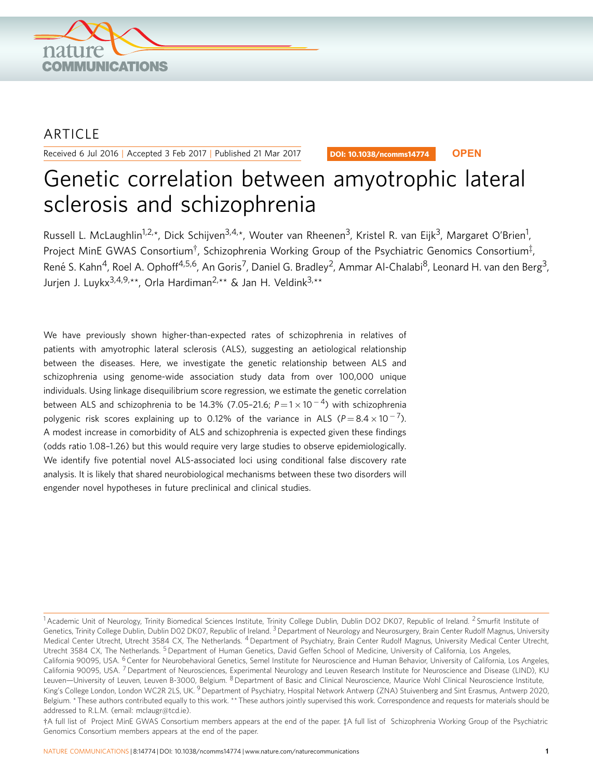

# **ARTICLE**

Received 6 Jul 2016 | Accepted 3 Feb 2017 | Published 21 Mar 2017

DOI: 10.1038/ncomms14774 **OPEN**

# Genetic correlation between amyotrophic lateral sclerosis and schizophrenia

Russell L. McLaughlin<sup>1,2,\*</sup>, Dick Schijven<sup>3,4,\*</sup>, Wouter van Rheenen<sup>3</sup>, Kristel R. van Eijk<sup>3</sup>, Margaret O'Brien<sup>1</sup>, Project MinE GWAS Consortium $^\dagger$ , Schizophrenia Working Group of the Psychiatric Genomics Consortium $^\ddagger$ , René S. Kahn<sup>4</sup>, Roel A. Ophoff<sup>4,5,6</sup>, An Goris<sup>7</sup>, Daniel G. Bradley<sup>2</sup>, Ammar Al-Chalabi<sup>8</sup>, Leonard H. van den Berg<sup>3</sup>, Jurjen J. Luykx<sup>3,4,9,\*\*</sup>, Orla Hardiman<sup>2,\*\*</sup> & Jan H. Veldink<sup>3,\*\*</sup>

We have previously shown higher-than-expected rates of schizophrenia in relatives of patients with amyotrophic lateral sclerosis (ALS), suggesting an aetiological relationship between the diseases. Here, we investigate the genetic relationship between ALS and schizophrenia using genome-wide association study data from over 100,000 unique individuals. Using linkage disequilibrium score regression, we estimate the genetic correlation between ALS and schizophrenia to be 14.3% (7.05-21.6;  $P\!=\!1\!\times\!10^{-4})$  with schizophrenia polygenic risk scores explaining up to 0.12% of the variance in ALS (P=8.4  $\times$  10  $^{-7}$ ). A modest increase in comorbidity of ALS and schizophrenia is expected given these findings (odds ratio 1.08–1.26) but this would require very large studies to observe epidemiologically. We identify five potential novel ALS-associated loci using conditional false discovery rate analysis. It is likely that shared neurobiological mechanisms between these two disorders will engender novel hypotheses in future preclinical and clinical studies.

<sup>&</sup>lt;sup>1</sup> Academic Unit of Neurology, Trinity Biomedical Sciences Institute, Trinity College Dublin, Dublin DO2 DK07, Republic of Ireland. <sup>2</sup> Smurfit Institute of Genetics, Trinity College Dublin, Dublin D02 DK07, Republic of Ireland. <sup>3</sup> Department of Neurology and Neurosurgery, Brain Center Rudolf Magnus, University Medical Center Utrecht, Utrecht 3584 CX, The Netherlands. <sup>4</sup> Department of Psychiatry, Brain Center Rudolf Magnus, University Medical Center Utrecht, Utrecht 3584 CX, The Netherlands. <sup>5</sup> Department of Human Genetics, David Geffen School of Medicine, University of California, Los Angeles, California 90095, USA. <sup>6</sup> Center for Neurobehavioral Genetics, Semel Institute for Neuroscience and Human Behavior, University of California, Los Angeles, California 90095, USA. <sup>7</sup> Department of Neurosciences, Experimental Neurology and Leuven Research Institute for Neuroscience and Disease (LIND), KU Leuven-University of Leuven, Leuven B-3000, Belgium. <sup>8</sup> Department of Basic and Clinical Neuroscience, Maurice Wohl Clinical Neuroscience Institute, King's College London, London WC2R 2LS, UK.<sup>9</sup> Department of Psychiatry, Hospital Network Antwerp (ZNA) Stuivenberg and Sint Erasmus, Antwerp 2020, Belgium. \* These authors contributed equally to this work. \*\* These authors jointly supervised this work. Correspondence and requests for materials should be addressed to R.L.M. (email: [mclaugr@tcd.ie](mailto:mclaugr@tcd.ie)).

wA full list of Project MinE GWAS Consortium members appears at the end of the paper. <sup>z</sup>A full list of Schizophrenia Working Group of the Psychiatric Genomics Consortium members appears at the end of the paper.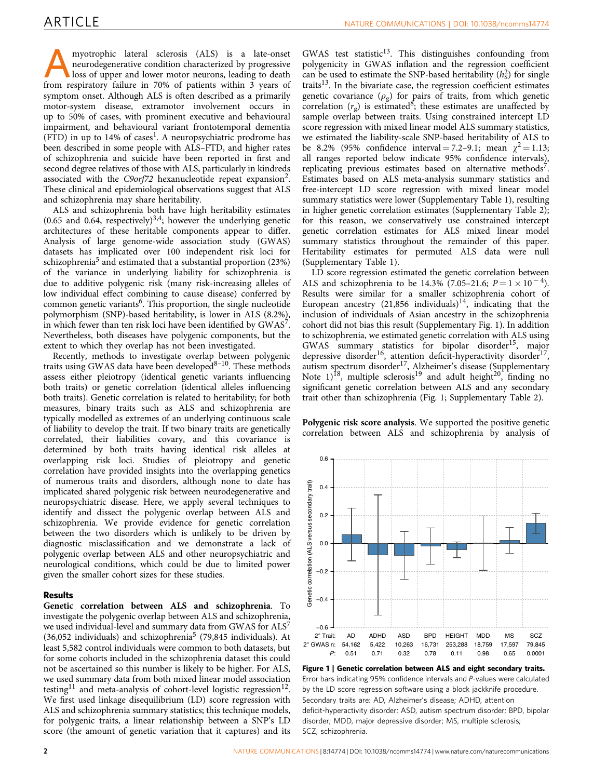myotrophic lateral sclerosis (ALS) is a late-onset<br>neurodegenerative condition characterized by progressive<br>loss of upper and lower motor neurons, leading to death<br>from respiratory follows in 70% of patients within 3 years neurodegenerative condition characterized by progressive from respiratory failure in 70% of patients within 3 years of symptom onset. Although ALS is often described as a primarily motor-system disease, extramotor involvement occurs in up to 50% of cases, with prominent executive and behavioural impairment, and behavioural variant frontotemporal dementia  $(FTD)$  in up to [1](#page-5-0)4% of cases<sup>1</sup>. A neuropsychiatric prodrome has been described in some people with ALS–FTD, and higher rates of schizophrenia and suicide have been reported in first and second degree relatives of those with ALS, particularly in kindreds associated with the C9orf72 hexanucleotide repeat expansion<sup>2</sup>. These clinical and epidemiological observations suggest that ALS and schizophrenia may share heritability.

ALS and schizophrenia both have high heritability estimates (0.65 and 0.64, respectively) $3.4$ ; however the underlying genetic architectures of these heritable components appear to differ. Analysis of large genome-wide association study (GWAS) datasets has implicated over 100 independent risk loci for schizophrenia<sup>[5](#page-5-0)</sup> and estimated that a substantial proportion (23%) of the variance in underlying liability for schizophrenia is due to additive polygenic risk (many risk-increasing alleles of low individual effect combining to cause disease) conferred by common genetic variants<sup>6</sup>. This proportion, the single nucleotide polymorphism (SNP)-based heritability, is lower in ALS (8.2%), in which fewer than ten risk loci have been identified by  $GWAS<sup>7</sup>$ . Nevertheless, both diseases have polygenic components, but the extent to which they overlap has not been investigated.

Recently, methods to investigate overlap between polygenic traits using GWAS data have been developed $8-10$ . These methods assess either pleiotropy (identical genetic variants influencing both traits) or genetic correlation (identical alleles influencing both traits). Genetic correlation is related to heritability; for both measures, binary traits such as ALS and schizophrenia are typically modelled as extremes of an underlying continuous scale of liability to develop the trait. If two binary traits are genetically correlated, their liabilities covary, and this covariance is determined by both traits having identical risk alleles at overlapping risk loci. Studies of pleiotropy and genetic correlation have provided insights into the overlapping genetics of numerous traits and disorders, although none to date has implicated shared polygenic risk between neurodegenerative and neuropsychiatric disease. Here, we apply several techniques to identify and dissect the polygenic overlap between ALS and schizophrenia. We provide evidence for genetic correlation between the two disorders which is unlikely to be driven by diagnostic misclassification and we demonstrate a lack of polygenic overlap between ALS and other neuropsychiatric and neurological conditions, which could be due to limited power given the smaller cohort sizes for these studies.

#### Results

Genetic correlation between ALS and schizophrenia. To investigate the polygenic overlap between ALS and schizophrenia, we used individual-level and summary data from GWAS for  $ALS^7$ (36,0[5](#page-5-0)2 individuals) and schizophrenia<sup>5</sup> (79,845 individuals). At least 5,582 control individuals were common to both datasets, but for some cohorts included in the schizophrenia dataset this could not be ascertained so this number is likely to be higher. For ALS, we used summary data from both mixed linear model association testing<sup>[11](#page-5-0)</sup> and meta-analysis of cohort-level logistic regression<sup>12</sup>. We first used linkage disequilibrium (LD) score regression with ALS and schizophrenia summary statistics; this technique models, for polygenic traits, a linear relationship between a SNP's LD score (the amount of genetic variation that it captures) and its

GWAS test statistic $13$ . This distinguishes confounding from polygenicity in GWAS inflation and the regression coefficient can be used to estimate the SNP-based heritability  $(h_5^2)$  for single traits<sup>[13](#page-5-0)</sup>. In the bivariate case, the regression coefficient estimates genetic covariance  $(\rho_{\alpha})$  for pairs of traits, from which genetic correlation  $(r_{\rm g})$  is estimated<sup>8</sup>; these estimates are unaffected by sample overlap between traits. Using constrained intercept LD score regression with mixed linear model ALS summary statistics, we estimated the liability-scale SNP-based heritability of ALS to be 8.2% (95% confidence interval = 7.2–9.1; mean  $\gamma^2 = 1.13$ ; all ranges reported below indicate 95% confidence intervals), replicating previous estimates based on alternative methods<sup>7</sup>. Estimates based on ALS meta-analysis summary statistics and free-intercept LD score regression with mixed linear model summary statistics were lower (Supplementary Table 1), resulting in higher genetic correlation estimates (Supplementary Table 2); for this reason, we conservatively use constrained intercept genetic correlation estimates for ALS mixed linear model summary statistics throughout the remainder of this paper. Heritability estimates for permuted ALS data were null (Supplementary Table 1).

LD score regression estimated the genetic correlation between ALS and schizophrenia to be 14.3% (7.05–21.6;  $P = 1 \times 10^{-4}$ ). Results were similar for a smaller schizophrenia cohort of European ancestry  $(21,856 \text{ individuals})^{14}$  $(21,856 \text{ individuals})^{14}$  $(21,856 \text{ individuals})^{14}$ , indicating that the inclusion of individuals of Asian ancestry in the schizophrenia cohort did not bias this result (Supplementary Fig. 1). In addition to schizophrenia, we estimated genetic correlation with ALS using GWAS summary statistics for bipolar disorder[15](#page-5-0), major depressive disorder<sup>16</sup>, attention deficit-hyperactivity disorder<sup>17</sup>, autism spectrum disorder<sup>[17](#page-5-0)</sup>, Alzheimer's disease (Supplementary Note  $1$ <sup>[18](#page-5-0)</sup>, multiple sclerosis<sup>[19](#page-5-0)</sup> and adult height<sup>20</sup>, finding no significant genetic correlation between ALS and any secondary trait other than schizophrenia (Fig. 1; Supplementary Table 2).

Polygenic risk score analysis. We supported the positive genetic correlation between ALS and schizophrenia by analysis of



Figure 1 | Genetic correlation between ALS and eight secondary traits. Error bars indicating 95% confidence intervals and P-values were calculated by the LD score regression software using a block jackknife procedure. Secondary traits are: AD, Alzheimer's disease; ADHD, attention deficit-hyperactivity disorder; ASD, autism spectrum disorder; BPD, bipolar disorder; MDD, major depressive disorder; MS, multiple sclerosis; SCZ, schizophrenia.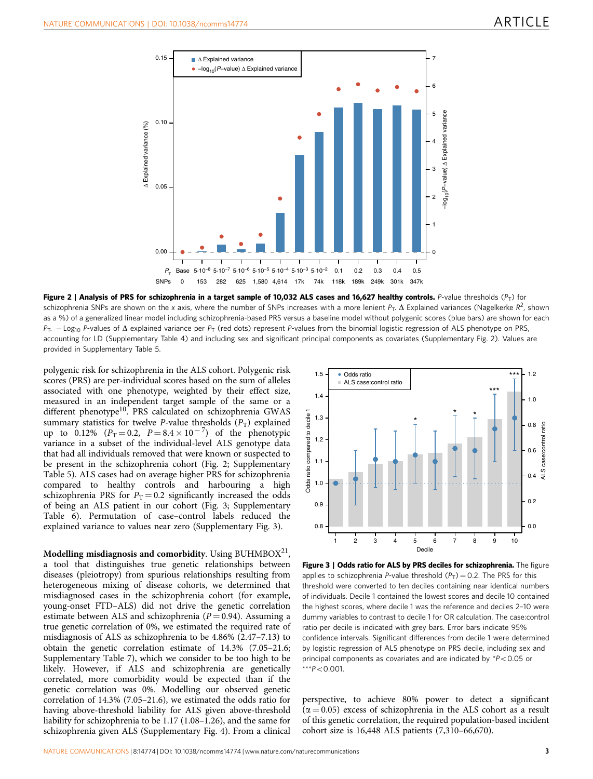

Figure 2 | Analysis of PRS for schizophrenia in a target sample of 10,032 ALS cases and 16,627 healthy controls. P-value thresholds ( $P_T$ ) for schizophrenia SNPs are shown on the x axis, where the number of SNPs increases with a more lenient  $P_T$ .  $\Delta$  Explained variances (Nagelkerke  $R^2$ , shown as a %) of a generalized linear model including schizophrenia-based PRS versus a baseline model without polygenic scores (blue bars) are shown for each  $P_{T}$ . - Log<sub>10</sub> P-values of  $\Delta$  explained variance per  $P_{T}$  (red dots) represent P-values from the binomial logistic regression of ALS phenotype on PRS, accounting for LD (Supplementary Table 4) and including sex and significant principal components as covariates (Supplementary Fig. 2). Values are provided in Supplementary Table 5.

polygenic risk for schizophrenia in the ALS cohort. Polygenic risk scores (PRS) are per-individual scores based on the sum of alleles associated with one phenotype, weighted by their effect size, measured in an independent target sample of the same or a different phenotype<sup>10</sup>. PRS calculated on schizophrenia GWAS summary statistics for twelve P-value thresholds  $(P_T)$  explained up to 0.12%  $(P_T = 0.2, P = 8.4 \times 10^{-7})$  of the phenotypic variance in a subset of the individual-level ALS genotype data that had all individuals removed that were known or suspected to be present in the schizophrenia cohort (Fig. 2; Supplementary Table 5). ALS cases had on average higher PRS for schizophrenia compared to healthy controls and harbouring a high schizophrenia PRS for  $P_T = 0.2$  significantly increased the odds of being an ALS patient in our cohort (Fig. 3; Supplementary Table 6). Permutation of case–control labels reduced the explained variance to values near zero (Supplementary Fig. 3).

Modelling misdiagnosis and comorbidity. Using BUHMBOX $^{21}$ , a tool that distinguishes true genetic relationships between diseases (pleiotropy) from spurious relationships resulting from heterogeneous mixing of disease cohorts, we determined that misdiagnosed cases in the schizophrenia cohort (for example, young-onset FTD–ALS) did not drive the genetic correlation estimate between ALS and schizophrenia ( $P = 0.94$ ). Assuming a true genetic correlation of 0%, we estimated the required rate of misdiagnosis of ALS as schizophrenia to be 4.86% (2.47–7.13) to obtain the genetic correlation estimate of 14.3% (7.05–21.6; Supplementary Table 7), which we consider to be too high to be likely. However, if ALS and schizophrenia are genetically correlated, more comorbidity would be expected than if the genetic correlation was 0%. Modelling our observed genetic correlation of 14.3% (7.05–21.6), we estimated the odds ratio for having above-threshold liability for ALS given above-threshold liability for schizophrenia to be 1.17 (1.08–1.26), and the same for schizophrenia given ALS (Supplementary Fig. 4). From a clinical



Figure 3 | Odds ratio for ALS by PRS deciles for schizophrenia. The figure applies to schizophrenia P-value threshold  $(P_T) = 0.2$ . The PRS for this threshold were converted to ten deciles containing near identical numbers of individuals. Decile 1 contained the lowest scores and decile 10 contained the highest scores, where decile 1 was the reference and deciles 2–10 were dummy variables to contrast to decile 1 for OR calculation. The case:control ratio per decile is indicated with grey bars. Error bars indicate 95% confidence intervals. Significant differences from decile 1 were determined by logistic regression of ALS phenotype on PRS decile, including sex and principal components as covariates and are indicated by  $*P<0.05$  or  $***P<0.001$ .

perspective, to achieve 80% power to detect a significant  $(\alpha = 0.05)$  excess of schizophrenia in the ALS cohort as a result of this genetic correlation, the required population-based incident cohort size is 16,448 ALS patients (7,310–66,670).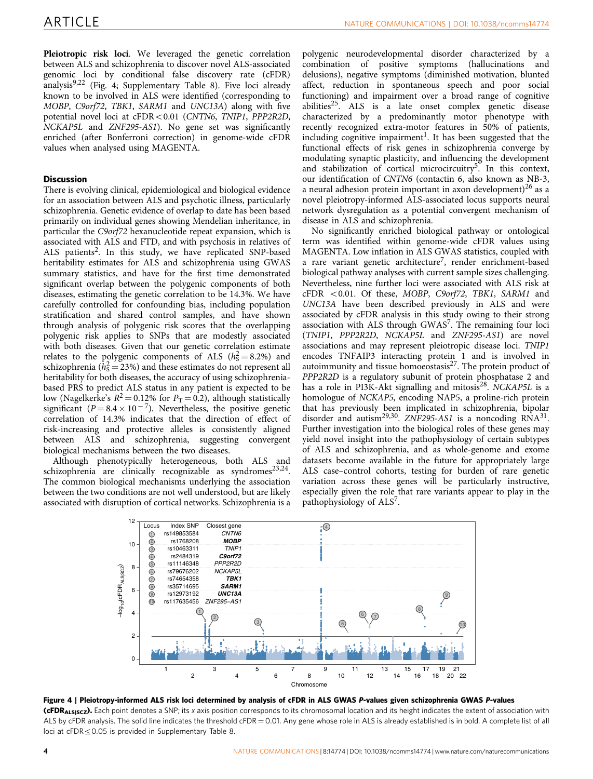Pleiotropic risk loci. We leveraged the genetic correlation between ALS and schizophrenia to discover novel ALS-associated genomic loci by conditional false discovery rate (cFDR) analysis<sup>[9,22](#page-5-0)</sup> (Fig. 4; Supplementary Table 8). Five loci already known to be involved in ALS were identified (corresponding to MOBP, C9orf72, TBK1, SARM1 and UNC13A) along with five potential novel loci at cFDR<0.01 (CNTN6, TNIP1, PPP2R2D, NCKAP5L and ZNF295-AS1). No gene set was significantly enriched (after Bonferroni correction) in genome-wide cFDR values when analysed using MAGENTA.

### **Discussion**

There is evolving clinical, epidemiological and biological evidence for an association between ALS and psychotic illness, particularly schizophrenia. Genetic evidence of overlap to date has been based primarily on individual genes showing Mendelian inheritance, in particular the C9orf72 hexanucleotide repeat expansion, which is associated with ALS and FTD, and with psychosis in relatives of ALS patients<sup>2</sup>. In this study, we have replicated SNP-based heritability estimates for ALS and schizophrenia using GWAS summary statistics, and have for the first time demonstrated significant overlap between the polygenic components of both diseases, estimating the genetic correlation to be 14.3%. We have carefully controlled for confounding bias, including population stratification and shared control samples, and have shown through analysis of polygenic risk scores that the overlapping polygenic risk applies to SNPs that are modestly associated with both diseases. Given that our genetic correlation estimate relates to the polygenic components of ALS ( $h_s^2 = 8.2\%$ ) and schizophrenia ( $\hat{h}_{\text{S}}^2 = 23\%$ ) and these estimates do not represent all heritability for both diseases, the accuracy of using schizophreniabased PRS to predict ALS status in any patient is expected to be low (Nagelkerke's  $R^2 = 0.12\%$  for  $P_T = 0.2$ ), although statistically significant ( $P = 8.4 \times 10^{-7}$ ). Nevertheless, the positive genetic correlation of 14.3% indicates that the direction of effect of risk-increasing and protective alleles is consistently aligned between ALS and schizophrenia, suggesting convergent biological mechanisms between the two diseases.

Although phenotypically heterogeneous, both ALS and schizophrenia are clinically recognizable as syndromes<sup>23,24</sup>. The common biological mechanisms underlying the association between the two conditions are not well understood, but are likely associated with disruption of cortical networks. Schizophrenia is a

polygenic neurodevelopmental disorder characterized by a combination of positive symptoms (hallucinations and delusions), negative symptoms (diminished motivation, blunted affect, reduction in spontaneous speech and poor social functioning) and impairment over a broad range of cognitive abilities<sup>25</sup>. ALS is a late onset complex genetic disease characterized by a predominantly motor phenotype with recently recognized extra-motor features in 50% of patients, including cognitive impairment<sup>1</sup>. It has been suggested that the functional effects of risk genes in schizophrenia converge by modulating synaptic plasticity, and influencing the development and stabilization of cortical microcircuitry<sup>[5](#page-5-0)</sup>. In this context, our identification of CNTN6 (contactin 6, also known as NB-3, a neural adhesion protein important in axon development)<sup>[26](#page-6-0)</sup> as a novel pleiotropy-informed ALS-associated locus supports neural network dysregulation as a potential convergent mechanism of disease in ALS and schizophrenia.

No significantly enriched biological pathway or ontological term was identified within genome-wide cFDR values using MAGENTA. Low inflation in ALS GWAS statistics, coupled with a rare variant genetic architecture<sup>7</sup>, render enrichment-based biological pathway analyses with current sample sizes challenging. Nevertheless, nine further loci were associated with ALS risk at cFDR <0.01. Of these, MOBP, C9orf72, TBK1, SARM1 and UNC13A have been described previously in ALS and were associated by cFDR analysis in this study owing to their strong association with ALS through GWAS<sup>7</sup>. The remaining four loci (TNIP1, PPP2R2D, NCKAP5L and ZNF295-AS1) are novel associations and may represent pleiotropic disease loci. TNIP1 encodes TNFAIP3 interacting protein 1 and is involved in autoimmunity and tissue homoeostasis $27$ . The protein product of PPP2R2D is a regulatory subunit of protein phosphatase 2 and has a role in PI3K-Akt signalling and mitosis<sup>[28](#page-6-0)</sup>. NCKAP5L is a homologue of NCKAP5, encoding NAP5, a proline-rich protein that has previously been implicated in schizophrenia, bipolar disorder and autism<sup>29,30</sup>. ZNF295-AS1 is a noncoding  $RNA^{31}$ . Further investigation into the biological roles of these genes may yield novel insight into the pathophysiology of certain subtypes of ALS and schizophrenia, and as whole-genome and exome datasets become available in the future for appropriately large ALS case–control cohorts, testing for burden of rare genetic variation across these genes will be particularly instructive, especially given the role that rare variants appear to play in the pathophysiology of ALS<sup>[7](#page-5-0)</sup>.



Figure 4 | Pleiotropy-informed ALS risk loci determined by analysis of cFDR in ALS GWAS P-values given schizophrenia GWAS P-values (cFDR<sub>ALSISCZ</sub>). Each point denotes a SNP; its x axis position corresponds to its chromosomal location and its height indicates the extent of association with ALS by cFDR analysis. The solid line indicates the threshold cFDR = 0.01. Any gene whose role in ALS is already established is in bold. A complete list of all loci at  $cFDR \leq 0.05$  is provided in Supplementary Table 8.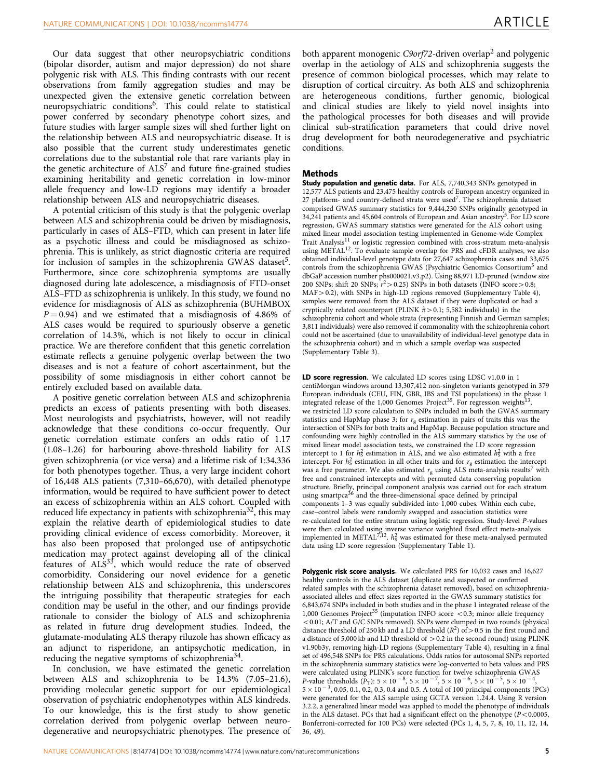Our data suggest that other neuropsychiatric conditions (bipolar disorder, autism and major depression) do not share polygenic risk with ALS. This finding contrasts with our recent observations from family aggregation studies and may be unexpected given the extensive genetic correlation between neuropsychiatric conditions<sup>6</sup>. This could relate to statistical power conferred by secondary phenotype cohort sizes, and future studies with larger sample sizes will shed further light on the relationship between ALS and neuropsychiatric disease. It is also possible that the current study underestimates genetic correlations due to the substantial role that rare variants play in the genetic architecture of  $ALS^7$  $ALS^7$  and future fine-grained studies examining heritability and genetic correlation in low-minor allele frequency and low-LD regions may identify a broader relationship between ALS and neuropsychiatric diseases.

A potential criticism of this study is that the polygenic overlap between ALS and schizophrenia could be driven by misdiagnosis, particularly in cases of ALS–FTD, which can present in later life as a psychotic illness and could be misdiagnosed as schizophrenia. This is unlikely, as strict diagnostic criteria are required for inclusion of samples in the schizophrenia GWAS dataset<sup>5</sup>. Furthermore, since core schizophrenia symptoms are usually diagnosed during late adolescence, a misdiagnosis of FTD-onset ALS–FTD as schizophrenia is unlikely. In this study, we found no evidence for misdiagnosis of ALS as schizophrenia (BUHMBOX  $P = 0.94$ ) and we estimated that a misdiagnosis of 4.86% of ALS cases would be required to spuriously observe a genetic correlation of 14.3%, which is not likely to occur in clinical practice. We are therefore confident that this genetic correlation estimate reflects a genuine polygenic overlap between the two diseases and is not a feature of cohort ascertainment, but the possibility of some misdiagnosis in either cohort cannot be entirely excluded based on available data.

A positive genetic correlation between ALS and schizophrenia predicts an excess of patients presenting with both diseases. Most neurologists and psychiatrists, however, will not readily acknowledge that these conditions co-occur frequently. Our genetic correlation estimate confers an odds ratio of 1.17 (1.08–1.26) for harbouring above-threshold liability for ALS given schizophrenia (or vice versa) and a lifetime risk of 1:34,336 for both phenotypes together. Thus, a very large incident cohort of 16,448 ALS patients (7,310–66,670), with detailed phenotype information, would be required to have sufficient power to detect an excess of schizophrenia within an ALS cohort. Coupled with reduced life expectancy in patients with schizophrenia<sup>32</sup>, this may explain the relative dearth of epidemiological studies to date providing clinical evidence of excess comorbidity. Moreover, it has also been proposed that prolonged use of antipsychotic medication may protect against developing all of the clinical features of ALS<sup>33</sup>, which would reduce the rate of observed comorbidity. Considering our novel evidence for a genetic relationship between ALS and schizophrenia, this underscores the intriguing possibility that therapeutic strategies for each condition may be useful in the other, and our findings provide rationale to consider the biology of ALS and schizophrenia as related in future drug development studies. Indeed, the glutamate-modulating ALS therapy riluzole has shown efficacy as an adjunct to risperidone, an antipsychotic medication, in reducing the negative symptoms of schizophrenia<sup>34</sup>.

In conclusion, we have estimated the genetic correlation between ALS and schizophrenia to be 14.3% (7.05–21.6), providing molecular genetic support for our epidemiological observation of psychiatric endophenotypes within ALS kindreds. To our knowledge, this is the first study to show genetic correlation derived from polygenic overlap between neurodegenerative and neuropsychiatric phenotypes. The presence of both apparent monogenic C9orf7[2](#page-5-0)-driven overlap<sup>2</sup> and polygenic overlap in the aetiology of ALS and schizophrenia suggests the presence of common biological processes, which may relate to disruption of cortical circuitry. As both ALS and schizophrenia are heterogeneous conditions, further genomic, biological and clinical studies are likely to yield novel insights into the pathological processes for both diseases and will provide clinical sub-stratification parameters that could drive novel drug development for both neurodegenerative and psychiatric conditions.

#### **Methods**

Study population and genetic data. For ALS, 7,740,343 SNPs genotyped in 12,577 ALS patients and 23,475 healthy controls of European ancestry organized in 27 platform- and country-defined strata were used<sup>7</sup>. The schizophrenia dataset comprised GWAS summary statistics for 9,444,230 SNPs originally genotyped in 34,241 patients and 4[5](#page-5-0),604 controls of European and Asian ancestry<sup>5</sup>. For LD score regression, GWAS summary statistics were generated for the ALS cohort using mixed linear model association testing implemented in Genome-wide Complex Trait Analysis<sup>11</sup> or logistic regression combined with cross-stratum meta-analysis using METAL<sup>[12](#page-5-0)</sup>. To evaluate sample overlap for PRS and cFDR analyses, we also obtained individual-level genotype data for 27,647 schizophrenia cases and 33,675 controls from the schizophrenia GWAS (Psychiatric Genomics Consortium<sup>[5](#page-5-0)</sup> and dbGaP accession number phs000021.v3.p2). Using 88,971 LD-pruned (window size 200 SNPs; shift 20 SNPs;  $r^2 > 0.25$ ) SNPs in both datasets (INFO score  $> 0.8$ ;  $MAF > 0.2$ ), with SNPs in high-LD regions removed (Supplementary Table 4), samples were removed from the ALS dataset if they were duplicated or had a cryptically related counterpart (PLINK  $\hat{\pi}$  > 0.1; 5,582 individuals) in the schizophrenia cohort and whole strata (representing Finnish and German samples; 3,811 individuals) were also removed if commonality with the schizophrenia cohort could not be ascertained (due to unavailability of individual-level genotype data in the schizophrenia cohort) and in which a sample overlap was suspected (Supplementary Table 3).

LD score regression. We calculated LD scores using LDSC v1.0.0 in 1 centiMorgan windows around 13,307,412 non-singleton variants genotyped in 379 European individuals (CEU, FIN, GBR, IBS and TSI populations) in the phase 1 integrated release of the 1,000 Genomes Project<sup>35</sup>. For regression weights<sup>13</sup>, we restricted LD score calculation to SNPs included in both the GWAS summary statistics and HapMap phase 3; for  $r_g$  estimation in pairs of traits this was the intersection of SNPs for both traits and HapMap. Because population structure and confounding were highly controlled in the ALS summary statistics by the use of mixed linear model association tests, we constrained the LD score regression intercept to 1 for  $h_s^2$  estimation in ALS, and we also estimated  $h_s^2$  with a free intercept. For  $h_s^2$  estimation in all other traits and for  $r_g$  estimation the intercept was a free parameter. We also estimated  $r_g$  using ALS meta-analysis results<sup>[7](#page-5-0)</sup> with free and constrained intercepts and with permuted data conserving population structure. Briefly, principal component analysis was carried out for each stratum using smartpca<sup>[36](#page-6-0)</sup> and the three-dimensional space defined by principal components 1–3 was equally subdivided into 1,000 cubes. Within each cube, case–control labels were randomly swapped and association statistics were re-calculated for the entire stratum using logistic regression. Study-level P-values were then calculated using inverse variance weighted fixed effect meta-analysis implemented in METAL<sup>[7,12](#page-5-0)</sup>.  $h_S^2$  was estimated for these meta-analysed permuted data using LD score regression (Supplementary Table 1).

Polygenic risk score analysis. We calculated PRS for 10,032 cases and 16,627 healthy controls in the ALS dataset (duplicate and suspected or confirmed related samples with the schizophrenia dataset removed), based on schizophreniaassociated alleles and effect sizes reported in the GWAS summary statistics for 6,843,674 SNPs included in both studies and in the phase 1 integrated release of the 1,000 Genomes Project<sup>[35](#page-6-0)</sup> (imputation INFO score  $<$  0.3; minor allele frequency <0.01; A/T and G/C SNPs removed). SNPs were clumped in two rounds (physical distance threshold of 250 kb and a LD threshold ( $R^2$ ) of > 0.5 in the first round and a distance of 5,000 kb and LD threshold of  $>$  0.2 in the second round) using PLINK v1.90b3y, removing high-LD regions (Supplementary Table 4), resulting in a final set of 496,548 SNPs for PRS calculations. Odds ratios for autosomal SNPs reported in the schizophrenia summary statistics were log-converted to beta values and PRS were calculated using PLINK's score function for twelve schizophrenia GWAS *P*-value thresholds ( $\overline{P}_{T}$ ):  $5 \times 10^{-8}$ ,  $5 \times 10^{-7}$ ,  $5 \times 10^{-6}$ ,  $5 \times 10^{-5}$ ,  $5 \times 10^{-4}$ ,  $5 \times 10^{-3}$ , 0.05, 0.1, 0.2, 0.3, 0.4 and 0.5. A total of 100 principal components (PCs) were generated for the ALS sample using GCTA version 1.24.4. Using R version 3.2.2, a generalized linear model was applied to model the phenotype of individuals in the ALS dataset. PCs that had a significant effect on the phenotype ( $P$ <0.0005, Bonferroni-corrected for 100 PCs) were selected (PCs 1, 4, 5, 7, 8, 10, 11, 12, 14, 36, 49).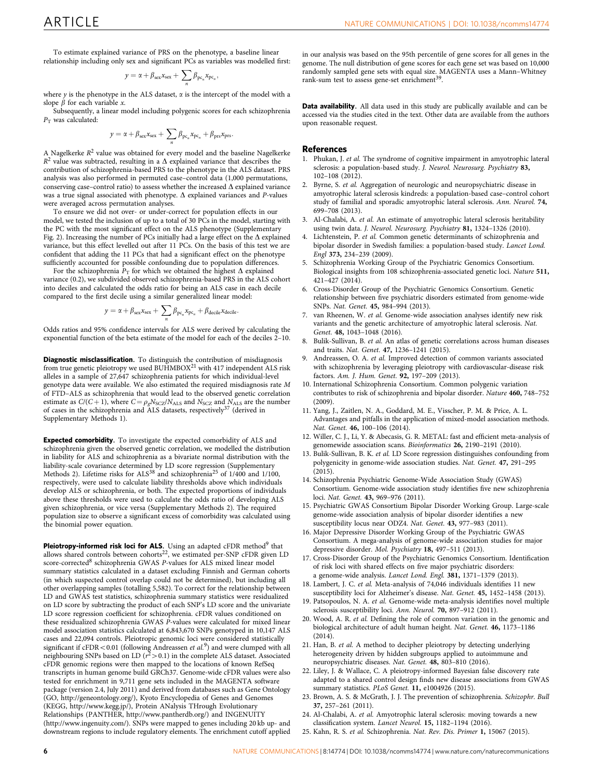<span id="page-5-0"></span>To estimate explained variance of PRS on the phenotype, a baseline linear relationship including only sex and significant PCs as variables was modelled first:

$$
y = \alpha + \beta_{\text{sex}} x_{\text{sex}} + \sum_{n} \beta_{\text{pc}_n} x_{\text{pc}_n},
$$

where  $y$  is the phenotype in the ALS dataset,  $\alpha$  is the intercept of the model with a slope  $\beta$  for each variable x.

Subsequently, a linear model including polygenic scores for each schizophrenia  $P_T$  was calculated:

$$
y = \alpha + \beta_{sex} x_{sex} + \sum_{n} \beta_{pc_{n}} x_{pc_{n}} + \beta_{prs} x_{prs}.
$$

A Nagelkerke  $R^2$  value was obtained for every model and the baseline Nagelkerke  $R^2$  value was subtracted, resulting in a  $\Delta$  explained variance that describes the contribution of schizophrenia-based PRS to the phenotype in the ALS dataset. PRS analysis was also performed in permuted case–control data (1,000 permutations, conserving case–control ratio) to assess whether the increased  $\Delta$  explained variance was a true signal associated with phenotype.  $\Delta$  explained variances and P-values were averaged across permutation analyses.

To ensure we did not over- or under-correct for population effects in our model, we tested the inclusion of up to a total of 30 PCs in the model, starting with the PC with the most significant effect on the ALS phenotype (Supplementary Fig. 2). Increasing the number of PCs initially had a large effect on the  $\Delta$  explained variance, but this effect levelled out after 11 PCs. On the basis of this test we are confident that adding the 11 PCs that had a significant effect on the phenotype sufficiently accounted for possible confounding due to population differences.

For the schizophrenia  $\bar{P}_{\text{T}}$  for which we obtained the highest  $\Delta$  explained variance (0.2), we subdivided observed schizophrenia-based PRS in the ALS cohort into deciles and calculated the odds ratio for being an ALS case in each decile compared to the first decile using a similar generalized linear model:

$$
y = \alpha + \beta_{\text{sex}} x_{\text{sex}} + \sum_{n} \beta_{\text{pc}_n} x_{\text{pc}_n} + \beta_{\text{decile}} x_{\text{decile}}.
$$

Odds ratios and 95% confidence intervals for ALS were derived by calculating the exponential function of the beta estimate of the model for each of the deciles  $2-10$ .

**Diagnostic misclassification.** To distinguish the contribution of misdiagnosis<br>from true genetic pleiotropy we used BUHMBOX<sup>21</sup> with 417 independent ALS risk alleles in a sample of 27,647 schizophrenia patients for which individual-level genotype data were available. We also estimated the required misdiagnosis rate M of FTD–ALS as schizophrenia that would lead to the observed genetic correlation estimate as  $C/(C+1)$ , where  $C = \rho_g N_{SCZ}/N_{ALS}$  and  $N_{SCZ}$  and  $N_{ALS}$  are the number of cases in the schizophrenia and ALS datasets, respectively<sup>[37](#page-6-0)</sup> (derived in Supplementary Methods 1).

Expected comorbidity. To investigate the expected comorbidity of ALS and schizophrenia given the observed genetic correlation, we modelled the distribution in liability for ALS and schizophrenia as a bivariate normal distribution with the liability-scale covariance determined by LD score regression (Supplementary Methods 2). Lifetime risks for  $ALS^{38}$  $ALS^{38}$  $ALS^{38}$  and schizophrenia<sup>25</sup> of 1/400 and 1/100, respectively, were used to calculate liability thresholds above which individuals develop ALS or schizophrenia, or both. The expected proportions of individuals above these thresholds were used to calculate the odds ratio of developing ALS given schizophrenia, or vice versa (Supplementary Methods 2). The required population size to observe a significant excess of comorbidity was calculated using the binomial power equation.

Pleiotropy-informed risk loci for ALS. Using an adapted cFDR method<sup>9</sup> that allows shared controls between cohorts<sup>22</sup>, we estimated per-SNP cFDR given LD score-corrected<sup>8</sup> schizophrenia GWAS P-values for ALS mixed linear model summary statistics calculated in a dataset excluding Finnish and German cohorts (in which suspected control overlap could not be determined), but including all other overlapping samples (totalling 5,582). To correct for the relationship between LD and GWAS test statistics, schizophrenia summary statistics were residualized on LD score by subtracting the product of each SNP's LD score and the univariate LD score regression coefficient for schizophrenia. cFDR values conditioned on these residualized schizophrenia GWAS P-values were calculated for mixed linear model association statistics calculated at 6,843,670 SNPs genotyped in 10,147 ALS cases and 22,094 controls. Pleiotropic genomic loci were considered statistically significant if  $cFDR < 0.01$  (following Andreassen et al.<sup>9</sup>) and were clumped with all neighbouring SNPs based on LD ( $r^2$  > 0.1) in the complete ALS dataset. Associated cFDR genomic regions were then mapped to the locations of known RefSeq transcripts in human genome build GRCh37. Genome-wide cFDR values were also tested for enrichment in 9,711 gene sets included in the MAGENTA software package (version 2.4, July 2011) and derived from databases such as Gene Ontology (GO, [http://geneontology.org/\)](http://geneontology.org/), Kyoto Encyclopedia of Genes and Genomes (KEGG,<http://www.kegg.jp/>), Protein ANalysis THrough Evolutionary Relationships (PANTHER,<http://www.pantherdb.org/>) and INGENUITY [\(http://www.ingenuity.com/\)](http://www.ingenuity.com/). SNPs were mapped to genes including 20 kb up- and downstream regions to include regulatory elements. The enrichment cutoff applied

in our analysis was based on the 95th percentile of gene scores for all genes in the genome. The null distribution of gene scores for each gene set was based on 10,000 randomly sampled gene sets with equal size. MAGENTA uses a Mann–Whitney rank-sum test to assess gene-set enrichment<sup>[39](#page-6-0)</sup>.

Data availability. All data used in this study are publically available and can be accessed via the studies cited in the text. Other data are available from the authors upon reasonable request.

#### References

- 1. Phukan, J. et al. The syndrome of cognitive impairment in amyotrophic lateral sclerosis: a population-based study. J. Neurol. Neurosurg. Psychiatry 83, 102–108 (2012).
- 2. Byrne, S. et al. Aggregation of neurologic and neuropsychiatric disease in amyotrophic lateral sclerosis kindreds: a population-based case–control cohort study of familial and sporadic amyotrophic lateral sclerosis. Ann. Neurol. 74, 699–708 (2013).
- 3. Al-Chalabi, A. et al. An estimate of amyotrophic lateral sclerosis heritability using twin data. J. Neurol. Neurosurg. Psychiatry 81, 1324-1326 (2010).
- 4. Lichtenstein, P. et al. Common genetic determinants of schizophrenia and bipolar disorder in Swedish families: a population-based study. Lancet Lond. Engl 373, 234–239 (2009).
- 5. Schizophrenia Working Group of the Psychiatric Genomics Consortium. Biological insights from 108 schizophrenia-associated genetic loci. Nature 511, 421–427 (2014).
- 6. Cross-Disorder Group of the Psychiatric Genomics Consortium. Genetic relationship between five psychiatric disorders estimated from genome-wide SNPs. Nat. Genet. 45, 984–994 (2013).
- 7. van Rheenen, W. et al. Genome-wide association analyses identify new risk variants and the genetic architecture of amyotrophic lateral sclerosis. Nat. Genet. 48, 1043–1048 (2016).
- 8. Bulik-Sullivan, B. et al. An atlas of genetic correlations across human diseases and traits. Nat. Genet. 47, 1236–1241 (2015).
- 9. Andreassen, O. A. et al. Improved detection of common variants associated with schizophrenia by leveraging pleiotropy with cardiovascular-disease risk factors. Am. J. Hum. Genet. 92, 197–209 (2013).
- 10. International Schizophrenia Consortium. Common polygenic variation contributes to risk of schizophrenia and bipolar disorder. Nature 460, 748–752 (2009).
- 11. Yang, J., Zaitlen, N. A., Goddard, M. E., Visscher, P. M. & Price, A. L. Advantages and pitfalls in the application of mixed-model association methods. Nat. Genet. 46, 100–106 (2014).
- 12. Willer, C. J., Li, Y. & Abecasis, G. R. METAL: fast and efficient meta-analysis of genomewide association scans. Bioinformatics 26, 2190–2191 (2010).
- 13. Bulik-Sullivan, B. K. et al. LD Score regression distinguishes confounding from polygenicity in genome-wide association studies. Nat. Genet. 47, 291–295 (2015).
- 14. Schizophrenia Psychiatric Genome-Wide Association Study (GWAS) Consortium. Genome-wide association study identifies five new schizophrenia loci. Nat. Genet. 43, 969–976 (2011).
- 15. Psychiatric GWAS Consortium Bipolar Disorder Working Group. Large-scale genome-wide association analysis of bipolar disorder identifies a new susceptibility locus near ODZ4. Nat. Genet. 43, 977–983 (2011).
- 16. Major Depressive Disorder Working Group of the Psychiatric GWAS Consortium. A mega-analysis of genome-wide association studies for major depressive disorder. Mol. Psychiatry 18, 497–511 (2013).
- 17. Cross-Disorder Group of the Psychiatric Genomics Consortium. Identification of risk loci with shared effects on five major psychiatric disorders: a genome-wide analysis. Lancet Lond. Engl. 381, 1371–1379 (2013).
- 18. Lambert, J. C. et al. Meta-analysis of 74,046 individuals identifies 11 new susceptibility loci for Alzheimer's disease. Nat. Genet. 45, 1452–1458 (2013).
- 19. Patsopoulos, N. A. et al. Genome-wide meta-analysis identifies novel multiple sclerosis susceptibility loci. Ann. Neurol. 70, 897–912 (2011).
- 20. Wood, A. R. et al. Defining the role of common variation in the genomic and biological architecture of adult human height. Nat. Genet. 46, 1173–1186  $(2014)$ .
- 21. Han, B. et al. A method to decipher pleiotropy by detecting underlying heterogeneity driven by hidden subgroups applied to autoimmune and neuropsychiatric diseases. Nat. Genet. 48, 803–810 (2016).
- 22. Liley, J. & Wallace, C. A pleiotropy-informed Bayesian false discovery rate adapted to a shared control design finds new disease associations from GWAS summary statistics. PLoS Genet. 11, e1004926 (2015).
- 23. Brown, A. S. & McGrath, J. J. The prevention of schizophrenia. Schizophr. Bull 37, 257–261 (2011).
- 24. Al-Chalabi, A. et al. Amyotrophic lateral sclerosis: moving towards a new classification system. Lancet Neurol. 15, 1182–1194 (2016).
- 25. Kahn, R. S. et al. Schizophrenia. Nat. Rev. Dis. Primer 1, 15067 (2015).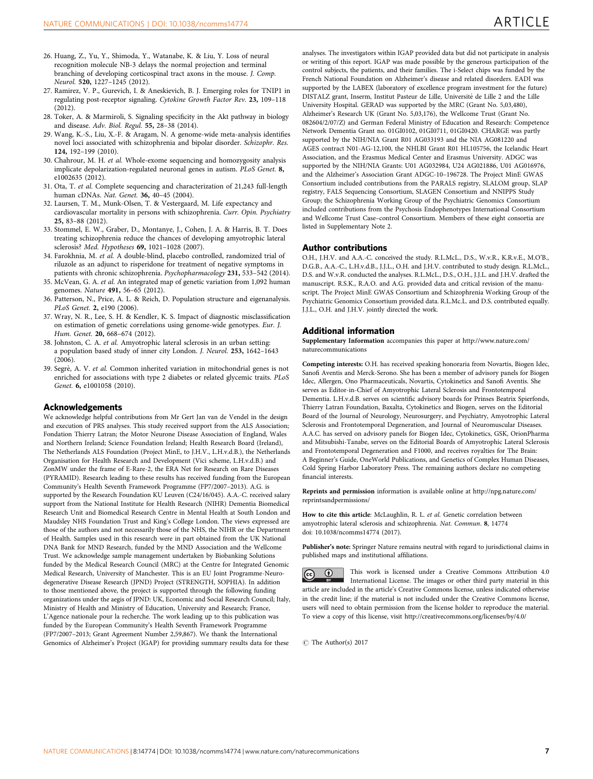- <span id="page-6-0"></span>26. Huang, Z., Yu, Y., Shimoda, Y., Watanabe, K. & Liu, Y. Loss of neural recognition molecule NB-3 delays the normal projection and terminal branching of developing corticospinal tract axons in the mouse. J. Comp. Neurol. 520, 1227–1245 (2012).
- 27. Ramirez, V. P., Gurevich, I. & Aneskievich, B. J. Emerging roles for TNIP1 in regulating post-receptor signaling. Cytokine Growth Factor Rev. 23, 109–118 (2012).
- 28. Toker, A. & Marmiroli, S. Signaling specificity in the Akt pathway in biology and disease. Adv. Biol. Regul. 55, 28–38 (2014).
- 29. Wang, K.-S., Liu, X.-F. & Aragam, N. A genome-wide meta-analysis identifies novel loci associated with schizophrenia and bipolar disorder. Schizophr. Res. 124, 192–199 (2010).
- 30. Chahrour, M. H. et al. Whole-exome sequencing and homozygosity analysis implicate depolarization-regulated neuronal genes in autism. PLoS Genet. 8, e1002635 (2012).
- 31. Ota, T. et al. Complete sequencing and characterization of 21,243 full-length human cDNAs. Nat. Genet. 36, 40–45 (2004).
- 32. Laursen, T. M., Munk-Olsen, T. & Vestergaard, M. Life expectancy and cardiovascular mortality in persons with schizophrenia. Curr. Opin. Psychiatry 25, 83–88 (2012).
- 33. Stommel, E. W., Graber, D., Montanye, J., Cohen, J. A. & Harris, B. T. Does treating schizophrenia reduce the chances of developing amyotrophic lateral sclerosis? Med. Hypotheses 69, 1021–1028 (2007).
- 34. Farokhnia, M. et al. A double-blind, placebo controlled, randomized trial of riluzole as an adjunct to risperidone for treatment of negative symptoms in patients with chronic schizophrenia. Psychopharmacology 231, 533–542 (2014).
- 35. McVean, G. A. et al. An integrated map of genetic variation from 1,092 human genomes. Nature 491, 56–65 (2012).
- 36. Patterson, N., Price, A. L. & Reich, D. Population structure and eigenanalysis. PLoS Genet. 2, e190 (2006).
- 37. Wray, N. R., Lee, S. H. & Kendler, K. S. Impact of diagnostic misclassification on estimation of genetic correlations using genome-wide genotypes. Eur. J. Hum. Genet. 20, 668-674 (2012).
- 38. Johnston, C. A. et al. Amyotrophic lateral sclerosis in an urban setting: a population based study of inner city London. J. Neurol. 253, 1642–1643 (2006).
- 39. Segrè, A. V. et al. Common inherited variation in mitochondrial genes is not enriched for associations with type 2 diabetes or related glycemic traits. PLoS Genet. 6, e1001058 (2010).

#### Acknowledgements

We acknowledge helpful contributions from Mr Gert Jan van de Vendel in the design and execution of PRS analyses. This study received support from the ALS Association; Fondation Thierry Latran; the Motor Neurone Disease Association of England, Wales and Northern Ireland; Science Foundation Ireland; Health Research Board (Ireland), The Netherlands ALS Foundation (Project MinE, to J.H.V., L.H.v.d.B.), the Netherlands Organisation for Health Research and Development (Vici scheme, L.H.v.d.B.) and ZonMW under the frame of E-Rare-2, the ERA Net for Research on Rare Diseases (PYRAMID). Research leading to these results has received funding from the European Community's Health Seventh Framework Programme (FP7/2007–2013). A.G. is supported by the Research Foundation KU Leuven (C24/16/045). A.A.-C. received salary support from the National Institute for Health Research (NIHR) Dementia Biomedical Research Unit and Biomedical Research Centre in Mental Health at South London and Maudsley NHS Foundation Trust and King's College London. The views expressed are those of the authors and not necessarily those of the NHS, the NIHR or the Department of Health. Samples used in this research were in part obtained from the UK National DNA Bank for MND Research, funded by the MND Association and the Wellcome Trust. We acknowledge sample management undertaken by Biobanking Solutions funded by the Medical Research Council (MRC) at the Centre for Integrated Genomic Medical Research, University of Manchester. This is an EU Joint Programme-Neurodegenerative Disease Research (JPND) Project (STRENGTH, SOPHIA). In addition to those mentioned above, the project is supported through the following funding organizations under the aegis of JPND: UK, Economic and Social Research Council; Italy, Ministry of Health and Ministry of Education, University and Research; France, L'Agence nationale pour la recherche. The work leading up to this publication was funded by the European Community's Health Seventh Framework Programme (FP7/2007–2013; Grant Agreement Number 2,59,867). We thank the International Genomics of Alzheimer's Project (IGAP) for providing summary results data for these

analyses. The investigators within IGAP provided data but did not participate in analysis or writing of this report. IGAP was made possible by the generous participation of the control subjects, the patients, and their families. The i-Select chips was funded by the French National Foundation on Alzheimer's disease and related disorders. EADI was supported by the LABEX (laboratory of excellence program investment for the future) DISTALZ grant, Inserm, Institut Pasteur de Lille, Universite´ de Lille 2 and the Lille University Hospital. GERAD was supported by the MRC (Grant No. 5,03,480), Alzheimer's Research UK (Grant No. 5,03,176), the Wellcome Trust (Grant No. 082604/2/07/Z) and German Federal Ministry of Education and Research: Competence Network Dementia Grant no. 01GI0102, 01GI0711, 01GI0420. CHARGE was partly supported by the NIH/NIA Grant R01 AG033193 and the NIA AG081220 and AGES contract N01-AG-12,100, the NHLBI Grant R01 HL105756, the Icelandic Heart Association, and the Erasmus Medical Center and Erasmus University. ADGC was supported by the NIH/NIA Grants: U01 AG032984, U24 AG021886, U01 AG016976, and the Alzheimer's Association Grant ADGC-10–196728. The Project MinE GWAS Consortium included contributions from the PARALS registry, SLALOM group, SLAP registry, FALS Sequencing Consortium, SLAGEN Consortium and NNIPPS Study Group; the Schizophrenia Working Group of the Psychiatric Genomics Consortium included contributions from the Psychosis Endophenotypes International Consortium and Wellcome Trust Case–control Consortium. Members of these eight consortia are listed in Supplementary Note 2.

#### Author contributions

O.H., J.H.V. and A.A.-C. conceived the study. R.L.McL., D.S., W.v.R., K.R.v.E., M.O'B., D.G.B., A.A.-C., L.H.v.d.B., J.J.L., O.H. and J.H.V. contributed to study design. R.L.McL., D.S. and W.v.R. conducted the analyses. R.L.McL., D.S., O.H., J.J.L. and J.H.V. drafted the manuscript. R.S.K., R.A.O. and A.G. provided data and critical revision of the manuscript. The Project MinE GWAS Consortium and Schizophrenia Working Group of the Psychiatric Genomics Consortium provided data. R.L.Mc.L. and D.S. contributed equally. J.J.L., O.H. and J.H.V. jointly directed the work.

#### Additional information

Supplementary Information accompanies this paper at [http://www.nature.com/](http://www.nature.com/naturecommunications) [naturecommunications](http://www.nature.com/naturecommunications)

Competing interests: O.H. has received speaking honoraria from Novartis, Biogen Idec, Sanofi Aventis and Merck-Serono. She has been a member of advisory panels for Biogen Idec, Allergen, Ono Pharmaceuticals, Novartis, Cytokinetics and Sanofi Aventis. She serves as Editor-in-Chief of Amyotrophic Lateral Sclerosis and Frontotemporal Dementia. L.H.v.d.B. serves on scientific advisory boards for Prinses Beatrix Spierfonds, Thierry Latran Foundation, Baxalta, Cytokinetics and Biogen, serves on the Editorial Board of the Journal of Neurology, Neurosurgery, and Psychiatry, Amyotrophic Lateral Sclerosis and Frontotemporal Degeneration, and Journal of Neuromuscular Diseases. A.A.C. has served on advisory panels for Biogen Idec, Cytokinetics, GSK, OrionPharma and Mitsubishi-Tanabe, serves on the Editorial Boards of Amyotrophic Lateral Sclerosis and Frontotemporal Degeneration and F1000, and receives royalties for The Brain: A Beginner's Guide, OneWorld Publications, and Genetics of Complex Human Diseases, Cold Spring Harbor Laboratory Press. The remaining authors declare no competing financial interests.

Reprints and permission information is available online at [http://npg.nature.com/](http://npg.nature.com/reprintsandpermissions/) [reprintsandpermissions/](http://npg.nature.com/reprintsandpermissions/)

How to cite this article: McLaughlin, R. L. et al. Genetic correlation between amyotrophic lateral sclerosis and schizophrenia. Nat. Commun. 8, 14774 doi: 10.1038/ncomms14774 (2017).

Publisher's note: Springer Nature remains neutral with regard to jurisdictional claims in published maps and institutional affiliations.

This work is licensed under a Creative Commons Attribution 4.0  $\left(\mathrm{cc}\right)$ International License. The images or other third party material in this article are included in the article's Creative Commons license, unless indicated otherwise in the credit line; if the material is not included under the Creative Commons license, users will need to obtain permission from the license holder to reproduce the material. To view a copy of this license, visit<http://creativecommons.org/licenses/by/4.0/>

 $\circ$  The Author(s) 2017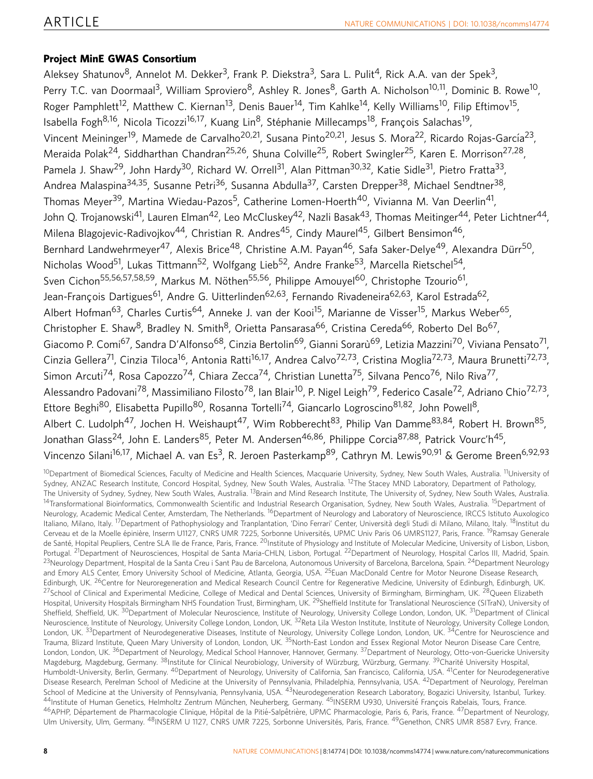# Project MinE GWAS Consortium

Aleksey Shatunov<sup>8</sup>, Annelot M. Dekker<sup>3</sup>, Frank P. Diekstra<sup>3</sup>, Sara L. Pulit<sup>4</sup>, Rick A.A. van der Spek<sup>3</sup>, Perry T.C. van Doormaal<sup>3</sup>, William Sproviero<sup>8</sup>, Ashley R. Jones<sup>8</sup>, Garth A. Nicholson<sup>10,11</sup>, Dominic B. Rowe<sup>10</sup>, Roger Pamphlett<sup>12</sup>, Matthew C. Kiernan<sup>13</sup>, Denis Bauer<sup>14</sup>, Tim Kahlke<sup>14</sup>, Kelly Williams<sup>10</sup>, Filip Eftimov<sup>15</sup>, Isabella Fogh<sup>8,16</sup>, Nicola Ticozzi<sup>16,17</sup>, Kuang Lin<sup>8</sup>, Stéphanie Millecamps<sup>18</sup>, Francois Salachas<sup>19</sup>, Vincent Meininger<sup>19</sup>, Mamede de Carvalho<sup>20,21</sup>, Susana Pinto<sup>20,21</sup>, Jesus S. Mora<sup>22</sup>, Ricardo Rojas-García<sup>23</sup>, Meraida Polak<sup>24</sup>, Siddharthan Chandran<sup>25,26</sup>, Shuna Colville<sup>25</sup>, Robert Swingler<sup>25</sup>, Karen E. Morrison<sup>27,28</sup>, Pamela J. Shaw<sup>29</sup>, John Hardy<sup>30</sup>, Richard W. Orrell<sup>31</sup>, Alan Pittman<sup>30,32</sup>, Katie Sidle<sup>31</sup>, Pietro Fratta<sup>33</sup>, Andrea Malaspina<sup>34,35</sup>, Susanne Petri<sup>36</sup>, Susanna Abdulla<sup>37</sup>, Carsten Drepper<sup>38</sup>, Michael Sendtner<sup>38</sup>, Thomas Meyer<sup>39</sup>, Martina Wiedau-Pazos<sup>5</sup>, Catherine Lomen-Hoerth<sup>40</sup>, Vivianna M. Van Deerlin<sup>41</sup>, John O. Trojanowski<sup>41</sup>, Lauren Elman<sup>42</sup>, Leo McCluskev<sup>42</sup>, Nazli Basak<sup>43</sup>, Thomas Meitinger<sup>44</sup>, Peter Lichtner<sup>44</sup>, Milena Blagojevic-Radivojkov<sup>44</sup>, Christian R. Andres<sup>45</sup>, Cindy Maurel<sup>45</sup>, Gilbert Bensimon<sup>46</sup>, Bernhard Landwehrmeyer<sup>47</sup>, Alexis Brice<sup>48</sup>, Christine A.M. Payan<sup>46</sup>, Safa Saker-Delye<sup>49</sup>, Alexandra Dürr<sup>50</sup>, Nicholas Wood<sup>51</sup>, Lukas Tittmann<sup>52</sup>, Wolfgang Lieb<sup>52</sup>, Andre Franke<sup>53</sup>, Marcella Rietschel<sup>54</sup>, Sven Cichon<sup>55,56,57,58,59</sup>, Markus M. Nöthen<sup>55,56</sup>, Philippe Amouyel<sup>60</sup>, Christophe Tzourio<sup>61</sup>, Jean-François Dartigues<sup>61</sup>, Andre G. Uitterlinden<sup>62,63</sup>, Fernando Rivadeneira<sup>62,63</sup>, Karol Estrada<sup>62</sup>, Albert Hofman<sup>63</sup>, Charles Curtis<sup>64</sup>, Anneke J. van der Kooi<sup>15</sup>, Marianne de Visser<sup>15</sup>, Markus Weber<sup>65</sup>, Christopher E. Shaw<sup>8</sup>, Bradley N. Smith<sup>8</sup>, Orietta Pansarasa<sup>66</sup>, Cristina Cereda<sup>66</sup>, Roberto Del Bo<sup>67</sup>, Giacomo P. Comi<sup>67</sup>, Sandra D'Alfonso<sup>68</sup>, Cinzia Bertolin<sup>69</sup>, Gianni Sorarù<sup>69</sup>, Letizia Mazzini<sup>70</sup>, Viviana Pensato<sup>71</sup>, Cinzia Gellera<sup>71</sup>, Cinzia Tiloca<sup>16</sup>, Antonia Ratti<sup>16,17</sup>, Andrea Calvo<sup>72,73</sup>, Cristina Moglia<sup>72,73</sup>, Maura Brunetti<sup>72,73</sup>, Simon Arcuti<sup>74</sup>, Rosa Capozzo<sup>74</sup>, Chiara Zecca<sup>74</sup>, Christian Lunetta<sup>75</sup>, Silvana Penco<sup>76</sup>, Nilo Riva<sup>77</sup>, Alessandro Padovani<sup>78</sup>, Massimiliano Filosto<sup>78</sup>, Ian Blair<sup>10</sup>, P. Nigel Leigh<sup>79</sup>, Federico Casale<sup>72</sup>, Adriano Chio<sup>72,73</sup>, Ettore Beghi<sup>80</sup>, Elisabetta Pupillo<sup>80</sup>, Rosanna Tortelli<sup>74</sup>, Giancarlo Logroscino<sup>81,82</sup>, John Powell<sup>8</sup>, Albert C. Ludolph<sup>47</sup>, Jochen H. Weishaupt<sup>47</sup>, Wim Robberecht<sup>83</sup>, Philip Van Damme<sup>83,84</sup>, Robert H. Brown<sup>85</sup>, Jonathan Glass<sup>24</sup>, John E. Landers<sup>85</sup>, Peter M. Andersen<sup>46,86</sup>, Philippe Corcia<sup>87,88</sup>, Patrick Vourc'h<sup>45</sup>, Vincenzo Silani<sup>16,17</sup>, Michael A. van Es<sup>3</sup>, R. Jeroen Pasterkamp<sup>89</sup>, Cathryn M. Lewis<sup>90,91</sup> & Gerome Breen<sup>6,92,93</sup>

<sup>10</sup>Department of Biomedical Sciences, Faculty of Medicine and Health Sciences, Macquarie University, Sydney, New South Wales, Australia. <sup>11</sup>University of Sydney, ANZAC Research Institute, Concord Hospital, Sydney, New South Wales, Australia. <sup>12</sup>The Stacey MND Laboratory, Department of Pathology, The University of Sydney, Sydney, New South Wales, Australia. <sup>13</sup>Brain and Mind Research Institute, The University of, Sydney, New South Wales, Australia. <sup>14</sup>Transformational Bioinformatics, Commonwealth Scientific and Industrial Research Organisation, Sydney, New South Wales, Australia. <sup>15</sup>Department of Neurology, Academic Medical Center, Amsterdam, The Netherlands. <sup>16</sup>Department of Neurology and Laboratory of Neuroscience, IRCCS Istituto Auxologico Italiano, Milano, Italy. <sup>17</sup>Department of Pathophysiology and Tranplantation, 'Dino Ferrari' Center, Università degli Studi di Milano, Milano, Italy. <sup>18</sup>Institut du Cerveau et de la Moelle épinière, Inserm U1127, CNRS UMR 7225, Sorbonne Universités, UPMC Univ Paris 06 UMRS1127, Paris, France. <sup>19</sup>Ramsay Generale de Santé, Hopital Peupliers, Centre SLA Ile de France, Paris, France. <sup>20</sup>Institute of Physiology and Institute of Molecular Medicine, University of Lisbon, Lisbon, Lisbon, Portugal. <sup>21</sup>Department of Neurosciences, Hospital de Santa Maria-CHLN, Lisbon, Portugal. <sup>22</sup>Department of Neurology, Hospital Carlos III, Madrid, Spain. <sup>23</sup>Neurology Department, Hospital de la Santa Creu i Sant Pau de Barcelona, Autonomous University of Barcelona, Barcelona, Spain. <sup>24</sup>Department Neurology and Emory ALS Center, Emory University School of Medicine, Atlanta, Georgia, USA. <sup>25</sup>Euan MacDonald Centre for Motor Neurone Disease Research, Edinburgh, UK. <sup>26</sup>Centre for Neuroregeneration and Medical Research Council Centre for Regenerative Medicine, University of Edinburgh, Edinburgh, UK. <sup>27</sup>School of Clinical and Experimental Medicine, College of Medical and Dental Sciences, University of Birmingham, Birmingham, UK. <sup>28</sup>Queen Elizabeth Hospital, University Hospitals Birmingham NHS Foundation Trust, Birmingham, UK. <sup>29</sup>Sheffield Institute for Translational Neuroscience (SITraN), University of Sheffield, Sheffield, UK. <sup>30</sup>Department of Molecular Neuroscience, Institute of Neurology, University College London, London, UK. <sup>31</sup>Department of Clinical Neuroscience, Institute of Neurology, University College London, London, UK. <sup>32</sup>Reta Lila Weston Institute, Institute of Neurology, University College London, London, UK. <sup>33</sup>Department of Neurodegenerative Diseases, Institute of Neurology, University College London, London, UK. <sup>34</sup>Centre for Neuroscience and Trauma, Blizard Institute, Queen Mary University of London, London, UK. <sup>35</sup>North-East London and Essex Regional Motor Neuron Disease Care Centre, London, London, UK.<sup>36</sup>Department of Neurology, Medical School Hannover, Hannover, Germany.<sup>37</sup>Department of Neurology, Otto-von-Guericke University Magdeburg, Magdeburg, Germany. <sup>38</sup>Institute for Clinical Neurobiology, University of Würzburg, Würzburg, Germany. <sup>39</sup>Charité University Hospital, Humboldt-University, Berlin, Germany. <sup>40</sup>Department of Neurology, University of California, San Francisco, California, USA. <sup>41</sup>Center for Neurodegenerative Disease Research, Perelman School of Medicine at the University of Pennsylvania, Philadelphia, Pennsylvania, USA. <sup>42</sup>Department of Neurology, Perelman School of Medicine at the University of Pennsylvania, Pennsylvania, USA. <sup>43</sup>Neurodegeneration Research Laboratory, Bogazici University, Istanbul, Turkey. 44Institute of Human Genetics, Helmholtz Zentrum München, Neuherberg, Germany. <sup>45</sup>INSERM U930, Université François Rabelais, Tours, France. <sup>46</sup>APHP, Département de Pharmacologie Clinique, Hôpital de la Pitié-Salpêtrière, UPMC Pharmacologie, Paris 6, Paris, France. <sup>47</sup>Department of Neurology, Ulm University, Ulm, Germany. <sup>48</sup>INSERM U 1127, CNRS UMR 7225, Sorbonne Universités, Paris, France. <sup>49</sup>Genethon, CNRS UMR 8587 Evry, France.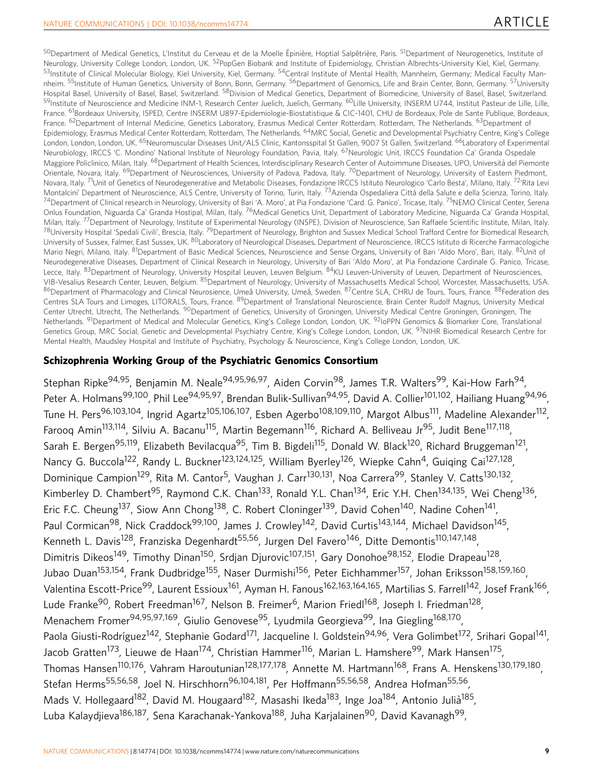50 Department of Medical Genetics, L'Institut du Cerveau et de la Moelle Épinière, Hoptial Salpêtrière, Paris. <sup>51</sup>Department of Neurogenetics, Institute of Neurology, University College London, London, UK. <sup>52</sup>PopGen Biobank and Institute of Epidemiology, Christian Albrechts-University Kiel, Kiel, Germany. 53Institute of Clinical Molecular Biology, Kiel University, Kiel, Germany. <sup>54</sup>Central Institute of Mental Health, Mannheim, Germany; Medical Faculty Mannheim. <sup>55</sup>Institute of Human Genetics, University of Bonn, Bonn, Germany. <sup>56</sup>Department of Genomics, Life and Brain Center, Bonn, Germany. <sup>57</sup>University Hospital Basel, University of Basel, Basel, Switzerland. <sup>58</sup>Division of Medical Genetics, Department of Biomedicine, University of Basel, Basel, Switzerland. 59Institute of Neuroscience and Medicine INM-1, Research Center Juelich, Juelich, Germany. <sup>60</sup>Lille University, INSERM U744, Institut Pasteur de Lille, Lille, France. <sup>61</sup>Bordeaux University, ISPED, Centre INSERM U897-Epidemiologie-Biostatistique & CIC-1401, CHU de Bordeaux, Pole de Sante Publique, Bordeaux, France. <sup>62</sup>Department of Internal Medicine, Genetics Laboratory, Erasmus Medical Center Rotterdam, Rotterdam, The Netherlands. <sup>63</sup>Department of Epidemiology, Erasmus Medical Center Rotterdam, Rotterdam, The Netherlands. 64MRC Social, Genetic and Developmental Psychiatry Centre, King's College London, London, London, UK. <sup>65</sup>Neuromuscular Diseases Unit/ALS Clinic, Kantonsspital St Gallen, 9007 St Gallen, Switzerland, <sup>66</sup>Laboratory of Experimental Neurobiology, IRCCS 'C. Mondino' National Institute of Neurology Foundation, Pavia, Italy. <sup>67</sup>Neurologic Unit, IRCCS Foundation Ca' Granda Ospedale Maggiore Policlinico, Milan, Italy. <sup>68</sup>Department of Health Sciences, Interdisciplinary Research Center of Autoimmune Diseases, UPO, Università del Piemonte Orientale, Novara, Italy. 69Department of Neurosciences, University of Padova, Padova, Italy. 70Department of Neurology, University of Eastern Piedmont, Novara, Italy. <sup>71</sup>Unit of Genetics of Neurodegenerative and Metabolic Diseases, Fondazione IRCCS Istituto Neurologico 'Carlo Besta', Milano, Italy. <sup>72</sup>'Rita Levi Montalcini' Department of Neuroscience, ALS Centre, University of Torino, Turin, Italy. <sup>73</sup>Azienda Ospedaliera Città della Salute e della Scienza, Torino, Italy. 74Department of Clinical research in Neurology, University of Bari 'A. Moro', at Pia Fondazione 'Card. G. Panico', Tricase, Italy. <sup>75</sup>NEMO Clinical Center, Serena Onlus Foundation, Niguarda Ca' Granda Hostipal, Milan, Italy. <sup>76</sup>Medical Genetics Unit, Department of Laboratory Medicine, Niguarda Ca' Granda Hospital, Milan, Italy. <sup>77</sup>Department of Neurology, Institute of Experimental Neurology (INSPE), Division of Neuroscience, San Raffaele Scientific Institute, Milan, Italy. <sup>78</sup>University Hospital 'Spedali Civili', Brescia, Italy. <sup>79</sup>Department of Neurology, Brighton and Sussex Medical School Trafford Centre for Biomedical Research, University of Sussex, Falmer, East Sussex, UK. 80Laboratory of Neurological Diseases, Department of Neuroscience, IRCCS Istituto di Ricerche Farmacologiche Mario Negri, Milano, Italy. <sup>81</sup>Department of Basic Medical Sciences, Neuroscience and Sense Organs, University of Bari 'Aldo Moro', Bari, Italy, <sup>82</sup>Unit of Neurodegenerative Diseases, Department of Clinical Research in Neurology, University of Bari 'Aldo Moro', at Pia Fondazione Cardinale G. Panico, Tricase, Lecce, Italy. <sup>83</sup>Department of Neurology, University Hospital Leuven, Leuven Belgium. <sup>84</sup>KU Leuven-University of Leuven, Department of Neurosciences, VIB-Vesalius Research Center, Leuven, Belgium. 85Department of Neurology, University of Massachusetts Medical School, Worcester, Massachusetts, USA. 86Department of Pharmacology and Clinical Neurosience, Umeå University, Umeå, Sweden. 87Centre SLA, CHRU de Tours, Tours, France. 88Federation des Centres SLA Tours and Limoges, LITORALS, Tours, France. 89Department of Translational Neuroscience, Brain Center Rudolf Magnus, University Medical Center Utrecht, Utrecht, The Netherlands. <sup>90</sup>Department of Genetics, University of Groningen, University Medical Centre Groningen, Groningen, The Netherlands. <sup>91</sup>Department of Medical and Molecular Genetics, King's College London, London, UK. <sup>92</sup>IoPPN Genomics & Biomarker Core, Translational Genetics Group, MRC Social, Genetic and Developmental Psychiatry Centre, King's College London, London, UK. <sup>93</sup>NIHR Biomedical Research Centre for Mental Health, Maudsley Hospital and Institute of Psychiatry, Psychology & Neuroscience, King's College London, London, UK.

## Schizophrenia Working Group of the Psychiatric Genomics Consortium

Stephan Ripke<sup>94,95</sup>, Benjamin M. Neale<sup>94,95,96,97</sup>, Aiden Corvin<sup>98</sup>, James T.R. Walters<sup>99</sup>, Kai-How Farh<sup>94</sup>, Peter A. Holmans<sup>99,100</sup>, Phil Lee<sup>94,95,97</sup>, Brendan Bulik-Sullivan<sup>94,95</sup>, David A. Collier<sup>101,102</sup>, Hailiang Huang<sup>94,96</sup>, Tune H. Pers<sup>96,103,104</sup>, Ingrid Agartz<sup>105,106,107</sup>, Esben Agerbo<sup>108,109,110</sup>, Margot Albus<sup>111</sup>, Madeline Alexander<sup>112</sup>, Farooq Amin<sup>113,114</sup>, Silviu A. Bacanu<sup>115</sup>, Martin Begemann<sup>116</sup>, Richard A. Belliveau Jr<sup>95</sup>, Judit Bene<sup>117,118</sup>, Sarah E. Bergen<sup>95,119</sup>, Elizabeth Bevilacqua<sup>95</sup>, Tim B. Bigdeli<sup>115</sup>, Donald W. Black<sup>120</sup>, Richard Bruggeman<sup>121</sup>, Nancy G. Buccola<sup>122</sup>, Randy L. Buckner<sup>123,124,125</sup>, William Byerley<sup>126</sup>, Wiepke Cahn<sup>4</sup>, Guiging Cai<sup>127,128</sup>, Dominique Campion<sup>129</sup>, Rita M. Cantor<sup>5</sup>, Vaughan J. Carr<sup>130,131</sup>, Noa Carrera<sup>99</sup>, Stanley V. Catts<sup>130,132</sup>, Kimberley D. Chambert<sup>95</sup>, Raymond C.K. Chan<sup>133</sup>, Ronald Y.L. Chan<sup>134</sup>, Eric Y.H. Chen<sup>134,135</sup>, Wei Cheng<sup>136</sup>, Eric F.C. Cheung<sup>137</sup>, Siow Ann Chong<sup>138</sup>, C. Robert Cloninger<sup>139</sup>, David Cohen<sup>140</sup>, Nadine Cohen<sup>141</sup>, Paul Cormican<sup>98</sup>, Nick Craddock<sup>99,100</sup>, James J. Crowley<sup>142</sup>, David Curtis<sup>143,144</sup>, Michael Davidson<sup>145</sup>, Kenneth L. Davis<sup>128</sup>, Franziska Degenhardt<sup>55,56</sup>, Jurgen Del Favero<sup>146</sup>, Ditte Demontis<sup>110,147,148</sup>, Dimitris Dikeos<sup>149</sup>, Timothy Dinan<sup>150</sup>, Srdjan Djurovic<sup>107,151</sup>, Gary Donohoe<sup>98,152</sup>, Elodie Drapeau<sup>128</sup>, Jubao Duan<sup>153,154</sup>, Frank Dudbridge<sup>155</sup>, Naser Durmishi<sup>156</sup>, Peter Eichhammer<sup>157</sup>, Johan Eriksson<sup>158,159,160</sup>, Valentina Escott-Price<sup>99</sup>, Laurent Essioux<sup>161</sup>, Ayman H. Fanous<sup>162,163,164,165</sup>, Martilias S. Farrell<sup>142</sup>, Josef Frank<sup>166</sup>, Lude Franke<sup>90</sup>, Robert Freedman<sup>167</sup>, Nelson B. Freimer<sup>6</sup>, Marion Friedl<sup>168</sup>, Joseph I. Friedman<sup>128</sup>, Menachem Fromer<sup>94,95,97,169</sup>, Giulio Genovese<sup>95</sup>, Lyudmila Georgieva<sup>99</sup>, Ina Giegling<sup>168,170</sup>, Paola Giusti-Rodríguez<sup>142</sup>, Stephanie Godard<sup>171</sup>, Jacqueline I. Goldstein<sup>94,96</sup>, Vera Golimbet<sup>172</sup>, Srihari Gopal<sup>141</sup>, Jacob Gratten<sup>173</sup>, Lieuwe de Haan<sup>174</sup>, Christian Hammer<sup>116</sup>, Marian L. Hamshere<sup>99</sup>, Mark Hansen<sup>175</sup>, Thomas Hansen<sup>110,176</sup>, Vahram Haroutunian<sup>128,177,178</sup>, Annette M. Hartmann<sup>168</sup>, Frans A. Henskens<sup>130,179,180</sup>, Stefan Herms<sup>55,56,58</sup>, Joel N. Hirschhorn<sup>96,104,181</sup>, Per Hoffmann<sup>55,56,58</sup>, Andrea Hofman<sup>55,56</sup>, Mads V. Hollegaard<sup>182</sup>, David M. Hougaard<sup>182</sup>, Masashi Ikeda<sup>183</sup>, Inge Joa<sup>184</sup>, Antonio Julià<sup>185</sup>, Luba Kalaydiieva<sup>186,187</sup>, Sena Karachanak-Yankova<sup>188</sup>, Juha Karjalainen<sup>90</sup>, David Kavanagh<sup>99</sup>,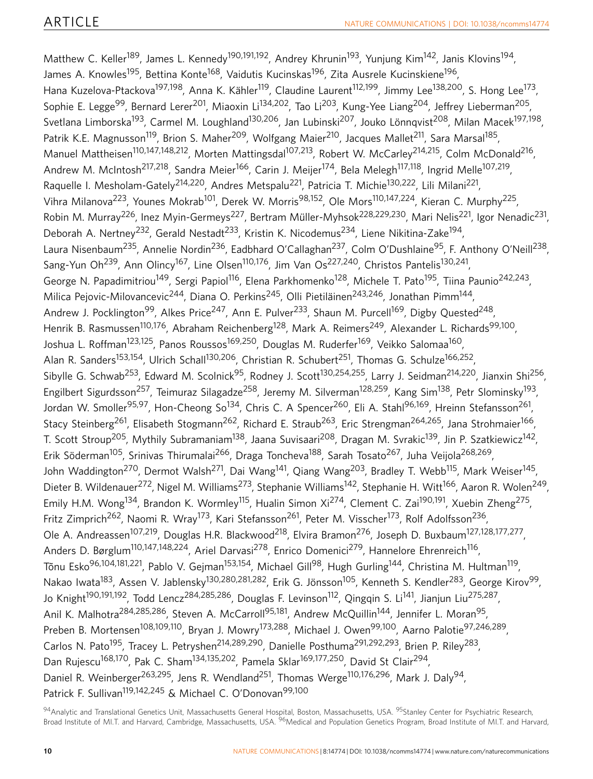Matthew C. Keller<sup>189</sup>, James L. Kennedy<sup>190,191,192</sup>, Andrey Khrunin<sup>193</sup>, Yunjung Kim<sup>142</sup>, Janis Klovins<sup>194</sup>, James A. Knowles<sup>195</sup>, Bettina Konte<sup>168</sup>, Vaidutis Kucinskas<sup>196</sup>, Zita Ausrele Kucinskiene<sup>196</sup>, Hana Kuzelova-Ptackova<sup>197,198</sup>, Anna K. Kähler<sup>119</sup>, Claudine Laurent<sup>112,199</sup>, Jimmy Lee<sup>138,200</sup>, S. Hong Lee<sup>173</sup>, Sophie E. Legge<sup>99</sup>, Bernard Lerer<sup>201</sup>, Miaoxin Li<sup>134,202</sup>, Tao Li<sup>203</sup>, Kung-Yee Liang<sup>204</sup>, Jeffrey Lieberman<sup>205</sup>, Svetlana Limborska<sup>193</sup>, Carmel M. Loughland<sup>130,206</sup>, Jan Lubinski<sup>207</sup>, Jouko Lönngvist<sup>208</sup>, Milan Macek<sup>197,198</sup>, Patrik K.E. Magnusson<sup>119</sup>, Brion S. Maher<sup>209</sup>, Wolfgang Maier<sup>210</sup>, Jacques Mallet<sup>211</sup>, Sara Marsal<sup>185</sup>, Manuel Mattheisen<sup>110,147,148,212</sup>, Morten Mattingsdal<sup>107,213</sup>, Robert W. McCarley<sup>214,215</sup>, Colm McDonald<sup>216</sup>, Andrew M. McIntosh<sup>217,218</sup>, Sandra Meier<sup>166</sup>, Carin J. Meijer<sup>174</sup>, Bela Melegh<sup>117,118</sup>, Ingrid Melle<sup>107,219</sup>, Raquelle I. Mesholam-Gately<sup>214,220</sup>, Andres Metspalu<sup>221</sup>, Patricia T. Michie<sup>130,222</sup>, Lili Milani<sup>221</sup>, Vihra Milanova<sup>223</sup>, Younes Mokrab<sup>101</sup>, Derek W. Morris<sup>98,152</sup>, Ole Mors<sup>110,147,224</sup>, Kieran C. Murphy<sup>225</sup>, Robin M. Murray<sup>226</sup>, Inez Myin-Germeys<sup>227</sup>, Bertram Müller-Myhsok<sup>228,229,230</sup>, Mari Nelis<sup>221</sup>, Igor Nenadic<sup>231</sup>, Deborah A. Nertney<sup>232</sup>, Gerald Nestadt<sup>233</sup>, Kristin K. Nicodemus<sup>234</sup>, Liene Nikitina-Zake<sup>194</sup>, Laura Nisenbaum<sup>235</sup>, Annelie Nordin<sup>236</sup>, Eadbhard O'Callaghan<sup>237</sup>, Colm O'Dushlaine<sup>95</sup>, F. Anthony O'Neill<sup>238</sup>, Sang-Yun Oh<sup>239</sup>, Ann Olincy<sup>167</sup>, Line Olsen<sup>110,176</sup>, Jim Van Os<sup>227,240</sup>, Christos Pantelis<sup>130,241</sup>, George N. Papadimitriou<sup>149</sup>, Sergi Papiol<sup>116</sup>, Elena Parkhomenko<sup>128</sup>, Michele T. Pato<sup>195</sup>, Tiina Paunio<sup>242,243</sup>, Milica Pejovic-Milovancevic<sup>244</sup>, Diana O. Perkins<sup>245</sup>, Olli Pietiläinen<sup>243,246</sup>, Jonathan Pimm<sup>144</sup>, Andrew J. Pocklington<sup>99</sup>, Alkes Price<sup>247</sup>, Ann E. Pulver<sup>233</sup>, Shaun M. Purcell<sup>169</sup>, Digby Quested<sup>248</sup>, Henrik B. Rasmussen<sup>110,176</sup>, Abraham Reichenberg<sup>128</sup>, Mark A. Reimers<sup>249</sup>, Alexander L. Richards<sup>99,100</sup>, Joshua L. Roffman<sup>123,125</sup>, Panos Roussos<sup>169,250</sup>, Douglas M. Ruderfer<sup>169</sup>, Veikko Salomaa<sup>160</sup>, Alan R. Sanders<sup>153,154</sup>, Ulrich Schall<sup>130,206</sup>, Christian R. Schubert<sup>251</sup>, Thomas G. Schulze<sup>166,252</sup>, Sibylle G. Schwab<sup>253</sup>, Edward M. Scolnick<sup>95</sup>, Rodney J. Scott<sup>130,254,255</sup>, Larry J. Seidman<sup>214,220</sup>, Jianxin Shi<sup>256</sup>, Engilbert Sigurdsson<sup>257</sup>, Teimuraz Silagadze<sup>258</sup>, Jeremy M. Silverman<sup>128,259</sup>, Kang Sim<sup>138</sup>, Petr Slominsky<sup>193</sup>, Jordan W. Smoller<sup>95,97</sup>, Hon-Cheong So<sup>134</sup>, Chris C. A Spencer<sup>260</sup>, Eli A. Stahl<sup>96,169</sup>, Hreinn Stefansson<sup>261</sup>, Stacy Steinberg<sup>261</sup>, Elisabeth Stogmann<sup>262</sup>, Richard E. Straub<sup>263</sup>, Eric Strengman<sup>264,265</sup>, Jana Strohmaier<sup>166</sup>, T. Scott Stroup<sup>205</sup>, Mythily Subramaniam<sup>138</sup>, Jaana Suvisaari<sup>208</sup>, Dragan M. Svrakic<sup>139</sup>, Jin P. Szatkiewicz<sup>142</sup>, Erik Söderman<sup>105</sup>, Srinivas Thirumalai<sup>266</sup>, Draga Toncheva<sup>188</sup>, Sarah Tosato<sup>267</sup>, Juha Veijola<sup>268,269</sup>, John Waddington<sup>270</sup>, Dermot Walsh<sup>271</sup>, Dai Wang<sup>141</sup>, Qiang Wang<sup>203</sup>, Bradley T. Webb<sup>115</sup>, Mark Weiser<sup>145</sup>, Dieter B. Wildenauer<sup>272</sup>, Nigel M. Williams<sup>273</sup>, Stephanie Williams<sup>142</sup>, Stephanie H. Witt<sup>166</sup>, Aaron R. Wolen<sup>249</sup>, Emily H.M. Wong<sup>134</sup>, Brandon K. Wormley<sup>115</sup>, Hualin Simon Xi<sup>274</sup>, Clement C. Zai<sup>190,191</sup>, Xuebin Zheng<sup>275</sup>, Fritz Zimprich<sup>262</sup>, Naomi R. Wray<sup>173</sup>, Kari Stefansson<sup>261</sup>, Peter M. Visscher<sup>173</sup>, Rolf Adolfsson<sup>236</sup>, Ole A. Andreassen<sup>107,219</sup>, Douglas H.R. Blackwood<sup>218</sup>, Elvira Bramon<sup>276</sup>, Joseph D. Buxbaum<sup>127,128,177,277</sup>, Anders D. Børglum<sup>110,147,148,224</sup>, Ariel Darvasi<sup>278</sup>, Enrico Domenici<sup>279</sup>, Hannelore Ehrenreich<sup>116</sup>, Tõnu Esko<sup>96,104,181,221</sup>, Pablo V. Gejman<sup>153,154</sup>, Michael Gill<sup>98</sup>, Hugh Gurling<sup>144</sup>, Christina M. Hultman<sup>119</sup>, Nakao Iwata<sup>183</sup>, Assen V. Jablensky<sup>130,280,281,282</sup>, Erik G. Jönsson<sup>105</sup>, Kenneth S. Kendler<sup>283</sup>, George Kirov<sup>99</sup>, Jo Knight<sup>190,191,192</sup>, Todd Lencz<sup>284,285,286</sup>, Douglas F. Levinson<sup>112</sup>, Qingqin S. Li<sup>141</sup>, Jianjun Liu<sup>275,287</sup>, Anil K. Malhotra<sup>284,285,286</sup>, Steven A. McCarroll<sup>95,181</sup>, Andrew McQuillin<sup>144</sup>, Jennifer L. Moran<sup>95</sup>, Preben B. Mortensen<sup>108,109,110</sup>, Bryan J. Mowry<sup>173,288</sup>, Michael J. Owen<sup>99,100</sup>, Aarno Palotie<sup>97,246,289</sup>, Carlos N. Pato<sup>195</sup>, Tracey L. Petryshen<sup>214,289,290</sup>, Danielle Posthuma<sup>291,292,293</sup>, Brien P. Riley<sup>283</sup>, Dan Rujescu<sup>168,170</sup>, Pak C. Sham<sup>134,135,202</sup>, Pamela Sklar<sup>169,177,250</sup>, David St Clair<sup>294</sup>, Daniel R. Weinberger<sup>263,295</sup>, Jens R. Wendland<sup>251</sup>, Thomas Werge<sup>110,176,296</sup>, Mark J. Daly<sup>94</sup>, Patrick F. Sullivan<sup>119,142,245</sup> & Michael C. O'Donovan<sup>99,100</sup>

<sup>94</sup>Analytic and Translational Genetics Unit, Massachusetts General Hospital, Boston, Massachusetts, USA. <sup>95</sup>Stanley Center for Psychiatric Research, Broad Institute of MI.T. and Harvard, Cambridge, Massachusetts, USA. <sup>96</sup>Medical and Population Genetics Program, Broad Institute of MI.T. and Harvard,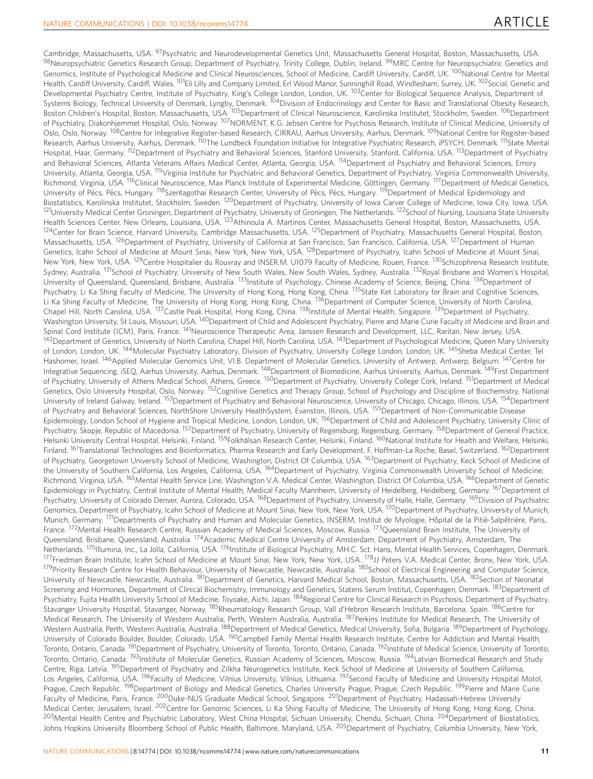Cambridge, Massachusetts, USA. <sup>97</sup>Psychiatric and Neurodevelopmental Genetics Unit, Massachusetts General Hospital, Boston, Massachusetts, USA. 98Neuropsychiatric Genetics Research Group, Department of Psychiatry, Trinity College, Dublin, Ireland. 99MRC Centre for Neuropsychiatric Genetics and Genomics, Institute of Psychological Medicine and Clinical Neurosciences, School of Medicine, Cardiff University, Cardiff, UK. <sup>100</sup>National Centre for Mental Health, Cardiff University, Cardiff, Wales. <sup>101</sup>Eli Lilly and Company Limited, Erl Wood Manor, Sunninghill Road, Windlesham, Surrey, UK. <sup>102</sup>Social, Genetic and Developmental Psychiatry Centre, Institute of Psychiatry, King's College London, London, UK. <sup>103</sup>Center for Biological Sequence Analysis, Department of Systems Biology, Technical University of Denmark, Lyngby, Denmark. 104Division of Endocrinology and Center for Basic and Translational Obesity Research, Boston Children's Hospital, Boston, Massachusetts, USA. <sup>105</sup>Department of Clinical Neuroscience, Karolinska Institutet, Stockholm, Sweden. <sup>106</sup>Department of Psychiatry, Diakonhjemmet Hospital, Oslo, Norway. <sup>107</sup>NORMENT, K.G. Jebsen Centre for Psychosis Research, Institute of Clinical Medicine, University of Oslo, Oslo, Norway. <sup>108</sup>Centre for Integrative Register-based Research, CIRRAU, Aarhus University, Aarhus, Denmark. <sup>109</sup>National Centre for Register-based Research, Aarhus University, Aarhus, Denmark. <sup>110</sup>The Lundbeck Foundation Initiative for Integrative Psychiatric Research, iPSYCH, Denmark. <sup>111</sup>State Mental Hospital, Haar, Germany. <sup>112</sup>Department of Psychiatry and Behavioral Sciences, Stanford University, Stanford, California, USA. <sup>113</sup>Department of Psychiatry and Behavioral Sciences, Atlanta Veterans Affairs Medical Center, Atlanta, Georgia, USA. <sup>114</sup>Department of Psychiatry and Behavioral Sciences, Emory University, Atlanta, Georgia, USA. 115Virginia Institute for Psychiatric and Behavioral Genetics, Department of Psychiatry, Virginia Commonwealth University, Richmond, Virginia, USA. <sup>116</sup>Clinical Neuroscience, Max Planck Institute of Experimental Medicine, Göttingen, Germany. <sup>117</sup>Department of Medical Genetics, University of Pécs, Pécs, Hungary. <sup>118</sup>Szentagothai Research Center, University of Pécs, Pécs, Hungary. <sup>119</sup>Department of Medical Epidemiology and Biostatistics, Karolinska Institutet, Stockholm, Sweden. 120Department of Psychiatry, University of Iowa Carver College of Medicine, Iowa City, Iowa, USA. <sup>121</sup>University Medical Center Groningen, Department of Psychiatry, University of Groningen, The Netherlands. <sup>122</sup>School of Nursing, Louisiana State University Health Sciences Center, New Orleans, Louisiana, USA. 123Athinoula A. Martinos Center, Massachusetts General Hospital, Boston, Massachusetts, USA. 124 Center for Brain Science, Harvard University, Cambridge Massachusetts, USA. <sup>125</sup> Department of Psychiatry, Massachusetts General Hospital, Boston, Massachusetts, USA. 126Department of Psychiatry, University of California at San Francisco, San Francisco, California, USA. 127Department of Human Genetics, Icahn School of Medicine at Mount Sinai, New York, New York, USA. 128Department of Psychiatry, Icahn School of Medicine at Mount Sinai, New York, New York, USA. <sup>129</sup>Centre Hospitalier du Rouvray and INSER.M. U1079 Faculty of Medicine, Rouen, France. <sup>130</sup>Schizophrenia Research Institute, Sydney, Australia. <sup>131</sup>School of Psychiatry, University of New South Wales, New South Wales, Sydney, Australia. <sup>132</sup>Royal Brisbane and Women's Hospital, University of Queensland, Queensland, Brisbane, Australia. <sup>133</sup>Institute of Psychology, Chinese Academy of Science, Beijing, China. <sup>134</sup>Department of Psychiatry, Li Ka Shing Faculty of Medicine, The University of Hong Kong, Hong Kong, China. <sup>135</sup>State Ket Laboratory for Brain and Cognitive Sciences, Li Ka Shing Faculty of Medicine, The University of Hong Kong, Hong Kong, China. <sup>136</sup>Department of Computer Science, University of North Carolina, Chapel Hill, North Carolina, USA. 137Castle Peak Hospital, Hong Kong, China. 138Institute of Mental Health, Singapore. 139Department of Psychiatry, Washington University, St Louis, Missouri, USA. <sup>140</sup>Department of Child and Adolescent Psychiatry, Pierre and Marie Curie Faculty of Medicine and Brain and Spinal Cord Institute (ICM), Paris, France. <sup>141</sup>Neuroscience Therapeutic Area, Janssen Research and Development, LLC, Raritan, New Jersey, USA. <sup>142</sup>Department of Genetics, University of North Carolina, Chapel Hill, North Carolina, USA. <sup>143</sup>Department of Psychological Medicine, Queen Mary University of London, London, UK. <sup>144</sup>Molecular Psychiatry Laboratory, Division of Psychiatry, University College London, London, UK. <sup>145</sup>Sheba Medical Center, Tel Hashomer, Israel. <sup>146</sup>Applied Molecular Genomics Unit, VI.B. Department of Molecular Genetics, University of Antwerp, Antwerp, Belgium. <sup>147</sup>Centre for Integrative Sequencing, iSEQ, Aarhus University, Aarhus, Denmark. <sup>148</sup>Department of Biomedicine, Aarhus University, Aarhus, Denmark. <sup>149</sup>First Department of Psychiatry, University of Athens Medical School, Athens, Greece. 150Department of Psychiatry, University College Cork, Ireland. 151Department of Medical Genetics, Oslo University Hospital, Oslo, Norway. <sup>152</sup>Cognitive Genetics and Therapy Group, School of Psychology and Discipline of Biochemistry, National University of Ireland Galway, Ireland. <sup>153</sup>Department of Psychiatry and Behavioral Neuroscience, University of Chicago, Chicago, Illinois, USA. <sup>154</sup>Department of Psychiatry and Behavioral Sciences, NorthShore University HealthSystem, Evanston, Illinois, USA. 155Department of Non-Communicable Disease Epidemiology, London School of Hygiene and Tropical Medicine, London, London, UK. 156Department of Child and Adolescent Psychiatry, University Clinic of Psychiatry, Skopje, Republic of Macedonia. 157Department of Psychiatry, University of Regensburg, Regensburg, Germany. 158Department of General Practice, Helsinki University Central Hospital, Helsinki, Finland. <sup>159</sup>Folkhaısan Research Center, Helsinki, Finland. <sup>160</sup>National Institute for Health and Welfare, Helsinki, Finland. <sup>161</sup>Translational Technologies and Bioinformatics, Pharma Research and Early Development, F. Hoffman-La Roche, Basel, Switzerland. <sup>162</sup>Department of Psychiatry, Georgetown University School of Medicine, Washington, District Of Columbia, USA. <sup>163</sup>Department of Psychiatry, Keck School of Medicine of the University of Southern California, Los Angeles, California, USA. <sup>164</sup>Department of Psychiatry, Virginia Commonwealth University School of Medicine, Richmond, Virginia, USA. <sup>165</sup>Mental Health Service Line, Washington V.A. Medical Center, Washington, District Of Columbia, USA. <sup>166</sup>Department of Genetic Epidemiology in Psychiatry, Central Institute of Mental Health, Medical Faculty Mannheim, University of Heidelberg, Heidelberg, Germany. <sup>167</sup>Department of Psychiatry, University of Colorado Denver, Aurora, Colorado, USA. <sup>168</sup>Department of Psychiatry, University of Halle, Halle, Germany. <sup>169</sup>Division of Psychiatric Genomics, Department of Psychiatry, Icahn School of Medicine at Mount Sinai, New York, New York, USA. 170Department of Psychiatry, University of Munich, Munich, Germany. <sup>171</sup>Departments of Psychiatry and Human and Molecular Genetics, INSERM, Institut de Myologie, Hôpital de la Pitiè-Salpêtrière, Paris, France. 172 Mental Health Research Centre, Russian Academy of Medical Sciences, Moscow, Russia. <sup>173</sup>Queensland Brain Institute, The University of Queensland, Brisbane, Queensland, Australia. 174Academic Medical Centre University of Amsterdam, Department of Psychiatry, Amsterdam, The Netherlands. <sup>175</sup>Illumina, Inc., La Jolla, California, USA. <sup>176</sup>Institute of Biological Psychiatry, MH.C. Sct. Hans, Mental Health Services, Copenhagen, Denmark. <sup>177</sup>Friedman Brain Institute, Icahn School of Medicine at Mount Sinai, New York, New York, USA. <sup>178</sup>JJ Peters V.A. Medical Center, Bronx, New York, USA. <sup>179</sup>Priority Research Centre for Health Behaviour, University of Newcastle, Newcastle, Australia. <sup>180</sup>School of Electrical Engineering and Computer Science, University of Newcastle, Newcastle, Australia. <sup>181</sup>Department of Genetics, Harvard Medical School, Boston, Massachusetts, USA. <sup>182</sup>Section of Neonatal Screening and Hormones, Department of Clinical Biochemistry, Immunology and Genetics, Statens Serum Institut, Copenhagen, Denmark. <sup>183</sup>Department of Psychiatry, Fujita Health University School of Medicine, Toyoake, Aichi, Japan. <sup>184</sup>Regional Centre for Clinical Research in Psychosis, Department of Psychiatry, Stavanger University Hospital, Stavanger, Norway. <sup>185</sup>Rheumatology Research Group, Vall d'Hebron Research Institute, Barcelona, Spain. <sup>186</sup>Centre for Medical Research, The University of Western Australia, Perth, Western Australia, Australia. <sup>187</sup>Perkins Institute for Medical Research, The University of Western Australia, Perth, Western Australia, Australia. <sup>188</sup>Department of Medical Genetics, Medical University, Sofia, Bulgaria. <sup>189</sup>Department of Psychology, University of Colorado Boulder, Boulder, Colorado, USA. <sup>190</sup>Campbell Family Mental Health Research Institute, Centre for Addiction and Mental Health, Toronto, Ontario, Canada. <sup>191</sup>Department of Psychiatry, University of Toronto, Toronto, Ontario, Canada. <sup>192</sup>Institute of Medical Science, University of Toronto, Toronto, Ontario, Canada. <sup>193</sup>Institute of Molecular Genetics, Russian Academy of Sciences, Moscow, Russia. <sup>194</sup>Latvian Biomedical Research and Study Centre, Riga, Latvia. <sup>195</sup>Department of Psychiatry and Zilkha Neurogenetics Institute, Keck School of Medicine at University of Southern California, Los Angeles, California, USA. <sup>196</sup>Faculty of Medicine, Vilnius University, Vilnius, Lithuania. <sup>197</sup>Second Faculty of Medicine and University Hospital Motol, Prague, Czech Republic. <sup>198</sup>Department of Biology and Medical Genetics, Charles University Prague, Prague, Czech Republic. <sup>199</sup>Pierre and Marie Curie Faculty of Medicine, Paris, France. <sup>200</sup>Duke-NUS Graduate Medical School, Singapore. <sup>201</sup>Department of Psychiatry, Hadassah-Hebrew University Medical Center, Jerusalem, Israel. <sup>202</sup>Centre for Genomic Sciences, Li Ka Shing Faculty of Medicine, The University of Hong Kong, Hong Kong, China. 203Mental Health Centre and Psychiatric Laboratory, West China Hospital, Sichuan University, Chendu, Sichuan, China. <sup>204</sup>Department of Biostatistics, Johns Hopkins University Bloomberg School of Public Health, Baltimore, Maryland, USA. <sup>205</sup>Department of Psychiatry, Columbia University, New York,